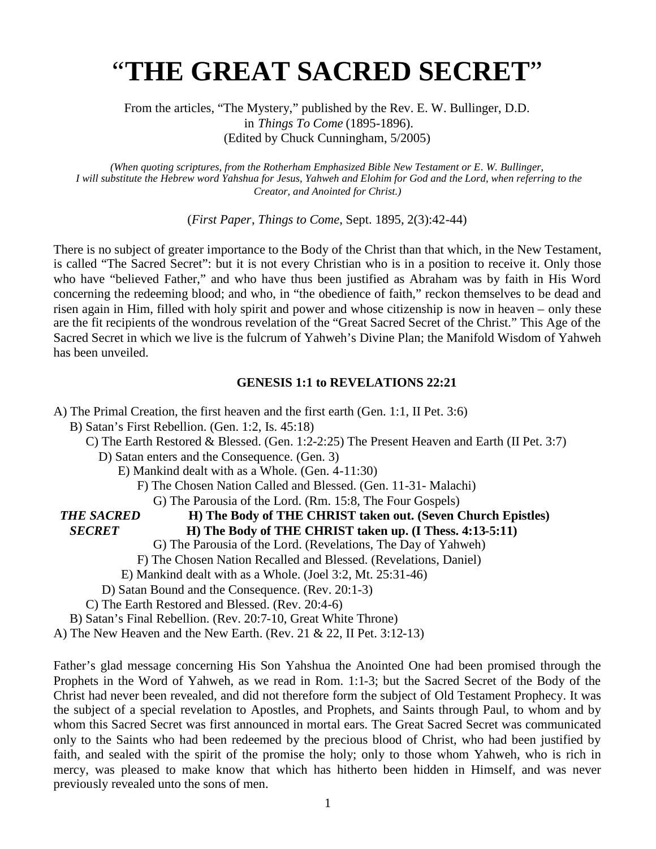# "**THE GREAT SACRED SECRET**"

From the articles, "The Mystery," published by the Rev. E. W. Bullinger, D.D. in *Things To Come* (1895-1896). (Edited by Chuck Cunningham, 5/2005)

*(When quoting scriptures, from the Rotherham Emphasized Bible New Testament or E. W. Bullinger, I will substitute the Hebrew word Yahshua for Jesus, Yahweh and Elohim for God and the Lord, when referring to the Creator, and Anointed for Christ.)*

(*First Paper*, *Things to Come*, Sept. 1895, 2(3):42-44)

There is no subject of greater importance to the Body of the Christ than that which, in the New Testament, is called "The Sacred Secret": but it is not every Christian who is in a position to receive it. Only those who have "believed Father," and who have thus been justified as Abraham was by faith in His Word concerning the redeeming blood; and who, in "the obedience of faith," reckon themselves to be dead and risen again in Him, filled with holy spirit and power and whose citizenship is now in heaven – only these are the fit recipients of the wondrous revelation of the "Great Sacred Secret of the Christ." This Age of the Sacred Secret in which we live is the fulcrum of Yahweh's Divine Plan; the Manifold Wisdom of Yahweh has been unveiled.

### **GENESIS 1:1 to REVELATIONS 22:21**

A) The Primal Creation, the first heaven and the first earth (Gen. 1:1, II Pet. 3:6) B) Satan's First Rebellion. (Gen. 1:2, Is. 45:18) C) The Earth Restored & Blessed. (Gen. 1:2-2:25) The Present Heaven and Earth (II Pet. 3:7) D) Satan enters and the Consequence. (Gen. 3) E) Mankind dealt with as a Whole. (Gen. 4-11:30) F) The Chosen Nation Called and Blessed. (Gen. 11-31- Malachi) G) The Parousia of the Lord. (Rm. 15:8, The Four Gospels) *THE SACRED* **H) The Body of THE CHRIST taken out. (Seven Church Epistles)** *SECRET* **H) The Body of THE CHRIST taken up. (I Thess. 4:13-5:11)** G) The Parousia of the Lord. (Revelations, The Day of Yahweh) F) The Chosen Nation Recalled and Blessed. (Revelations, Daniel) E) Mankind dealt with as a Whole. (Joel 3:2, Mt. 25:31-46) D) Satan Bound and the Consequence. (Rev. 20:1-3) C) The Earth Restored and Blessed. (Rev. 20:4-6) B) Satan's Final Rebellion. (Rev. 20:7-10, Great White Throne) A) The New Heaven and the New Earth. (Rev. 21 & 22, II Pet. 3:12-13)

Father's glad message concerning His Son Yahshua the Anointed One had been promised through the Prophets in the Word of Yahweh, as we read in Rom. 1:1-3; but the Sacred Secret of the Body of the Christ had never been revealed, and did not therefore form the subject of Old Testament Prophecy. It was the subject of a special revelation to Apostles, and Prophets, and Saints through Paul, to whom and by whom this Sacred Secret was first announced in mortal ears. The Great Sacred Secret was communicated only to the Saints who had been redeemed by the precious blood of Christ, who had been justified by faith, and sealed with the spirit of the promise the holy; only to those whom Yahweh, who is rich in mercy, was pleased to make know that which has hitherto been hidden in Himself, and was never previously revealed unto the sons of men.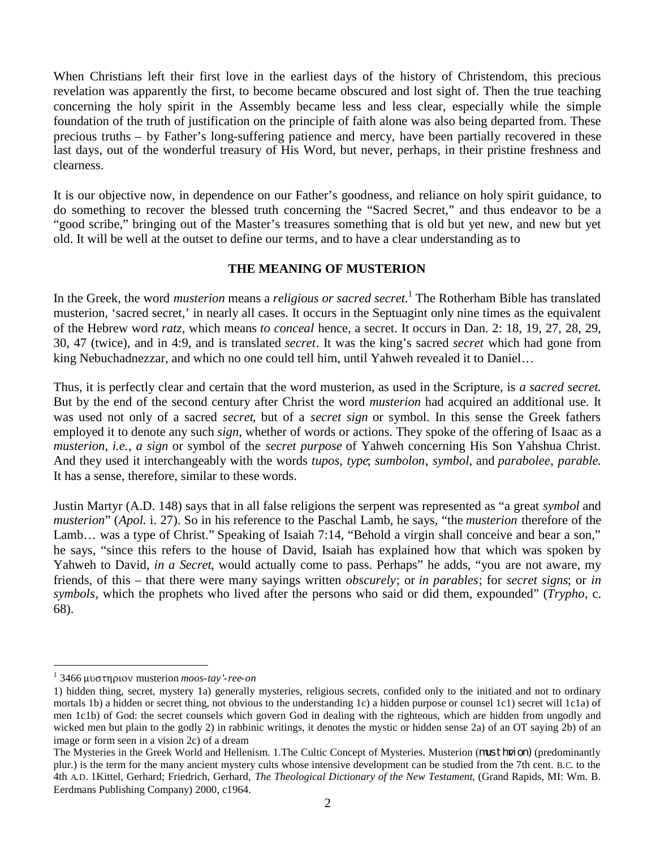When Christians left their first love in the earliest days of the history of Christendom, this precious revelation was apparently the first, to become became obscured and lost sight of. Then the true teaching concerning the holy spirit in the Assembly became less and less clear, especially while the simple foundation of the truth of justification on the principle of faith alone was also being departed from. These precious truths – by Father's long-suffering patience and mercy, have been partially recovered in these last days, out of the wonderful treasury of His Word, but never, perhaps, in their pristine freshness and clearness.

It is our objective now, in dependence on our Father's goodness, and reliance on holy spirit guidance, to do something to recover the blessed truth concerning the "Sacred Secret," and thus endeavor to be a "good scribe," bringing out of the Master's treasures something that is old but yet new, and new but yet old. It will be well at the outset to define our terms, and to have a clear understanding as to

# **THE MEANING OF MUSTERION**

In the Greek, the word *musterion* means a *religious or sacred secret*. [1](#page-1-0) The Rotherham Bible has translated musterion, 'sacred secret,' in nearly all cases. It occurs in the Septuagint only nine times as the equivalent of the Hebrew word *ratz*, which means *to conceal* hence, a secret. It occurs in Dan. 2: 18, 19, 27, 28, 29, 30, 47 (twice), and in 4:9, and is translated *secret*. It was the king's sacred *secret* which had gone from king Nebuchadnezzar, and which no one could tell him, until Yahweh revealed it to Daniel…

Thus, it is perfectly clear and certain that the word musterion, as used in the Scripture, is *a sacred secret*. But by the end of the second century after Christ the word *musterion* had acquired an additional use. It was used not only of a sacred *secret*, but of a *secret sign* or symbol. In this sense the Greek fathers employed it to denote any such *sign*, whether of words or actions. They spoke of the offering of Isaac as a *musterion*, *i.e.*, *a sign* or symbol of the *secret purpose* of Yahweh concerning His Son Yahshua Christ. And they used it interchangeably with the words *tupos*, *type*; *sumbolon*, *symbol*, and *parabolee*, *parable*. It has a sense, therefore, similar to these words.

Justin Martyr (A.D. 148) says that in all false religions the serpent was represented as "a great *symbol* and *musterion*" (*Apol.* i. 27). So in his reference to the Paschal Lamb, he says, "the *musterion* therefore of the Lamb… was a type of Christ." Speaking of Isaiah 7:14, "Behold a virgin shall conceive and bear a son," he says, "since this refers to the house of David, Isaiah has explained how that which was spoken by Yahweh to David, *in a Secret*, would actually come to pass. Perhaps" he adds, "you are not aware, my friends, of this – that there were many sayings written *obscurely*; or *in parables*; for *secret signs*; or *in symbols*, which the prophets who lived after the persons who said or did them, expounded" (*Trypho*, c. 68).

<span id="page-1-0"></span><sup>&</sup>lt;sup>1</sup> 3466 μυστηριον musterion *moos-tay'-ree-on* 

<sup>1)</sup> hidden thing, secret, mystery 1a) generally mysteries, religious secrets, confided only to the initiated and not to ordinary mortals 1b) a hidden or secret thing, not obvious to the understanding 1c) a hidden purpose or counsel 1c1) secret will 1c1a) of men 1c1b) of God: the secret counsels which govern God in dealing with the righteous, which are hidden from ungodly and wicked men but plain to the godly 2) in rabbinic writings, it denotes the mystic or hidden sense 2a) of an OT saying 2b) of an image or form seen in a vision 2c) of a dream

The Mysteries in the Greek World and Hellenism. 1. The Cultic Concept of Mysteries. Musterion (musthrion) (predominantly plur.) is the term for the many ancient mystery cults whose intensive development can be studied from the 7th cent. B.C. to the 4th A.D. 1Kittel, Gerhard; Friedrich, Gerhard, *The Theological Dictionary of the New Testament*, (Grand Rapids, MI: Wm. B. Eerdmans Publishing Company) 2000, c1964.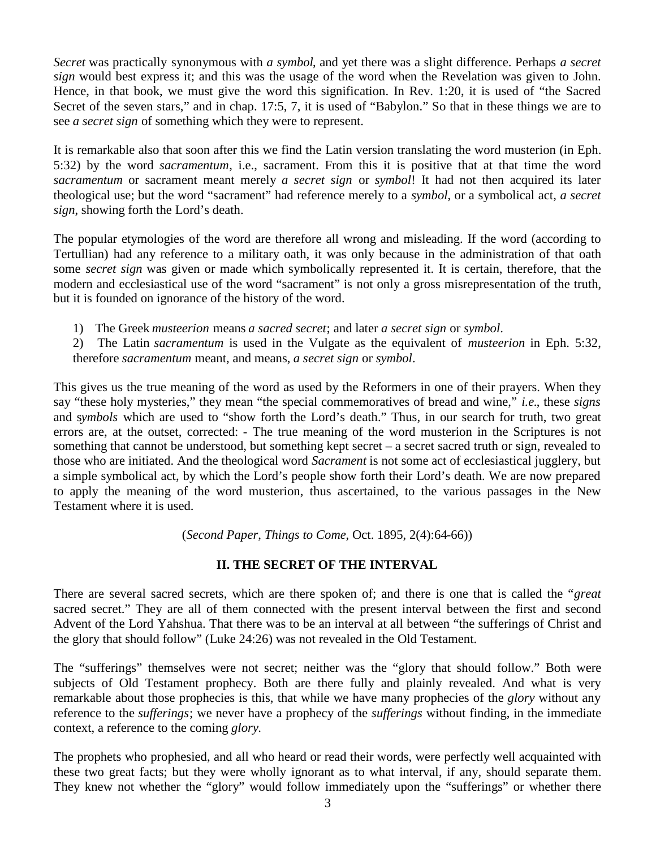*Secret* was practically synonymous with *a symbol*, and yet there was a slight difference. Perhaps *a secret sign* would best express it; and this was the usage of the word when the Revelation was given to John. Hence, in that book, we must give the word this signification. In Rev. 1:20, it is used of "the Sacred Secret of the seven stars," and in chap. 17:5, 7, it is used of "Babylon." So that in these things we are to see *a secret sign* of something which they were to represent.

It is remarkable also that soon after this we find the Latin version translating the word musterion (in Eph. 5:32) by the word *sacramentum*, i.e., sacrament. From this it is positive that at that time the word *sacramentum* or sacrament meant merely *a secret sign* or *symbol*! It had not then acquired its later theological use; but the word "sacrament" had reference merely to a *symbol*, or a symbolical act, *a secret sign*, showing forth the Lord's death.

The popular etymologies of the word are therefore all wrong and misleading. If the word (according to Tertullian) had any reference to a military oath, it was only because in the administration of that oath some *secret sign* was given or made which symbolically represented it. It is certain, therefore, that the modern and ecclesiastical use of the word "sacrament" is not only a gross misrepresentation of the truth, but it is founded on ignorance of the history of the word.

1) The Greek *musteerion* means *a sacred secret*; and later *a secret sign* or *symbol*.

2) The Latin *sacramentum* is used in the Vulgate as the equivalent of *musteerion* in Eph. 5:32, therefore *sacramentum* meant, and means, *a secret sign* or *symbol*.

This gives us the true meaning of the word as used by the Reformers in one of their prayers. When they say "these holy mysteries," they mean "the special commemoratives of bread and wine," *i.e.*, these *signs* and s*ymbols* which are used to "show forth the Lord's death." Thus, in our search for truth, two great errors are, at the outset, corrected: - The true meaning of the word musterion in the Scriptures is not something that cannot be understood, but something kept secret – a secret sacred truth or sign, revealed to those who are initiated. And the theological word *Sacrament* is not some act of ecclesiastical jugglery, but a simple symbolical act, by which the Lord's people show forth their Lord's death. We are now prepared to apply the meaning of the word musterion, thus ascertained, to the various passages in the New Testament where it is used.

(*Second Paper*, *Things to Come*, Oct. 1895, 2(4):64-66))

# **II. THE SECRET OF THE INTERVAL**

There are several sacred secrets, which are there spoken of; and there is one that is called the "*great* sacred secret." They are all of them connected with the present interval between the first and second Advent of the Lord Yahshua. That there was to be an interval at all between "the sufferings of Christ and the glory that should follow" (Luke 24:26) was not revealed in the Old Testament.

The "sufferings" themselves were not secret; neither was the "glory that should follow." Both were subjects of Old Testament prophecy. Both are there fully and plainly revealed. And what is very remarkable about those prophecies is this, that while we have many prophecies of the *glory* without any reference to the *sufferings*; we never have a prophecy of the *sufferings* without finding, in the immediate context, a reference to the coming *glory*.

The prophets who prophesied, and all who heard or read their words, were perfectly well acquainted with these two great facts; but they were wholly ignorant as to what interval, if any, should separate them. They knew not whether the "glory" would follow immediately upon the "sufferings" or whether there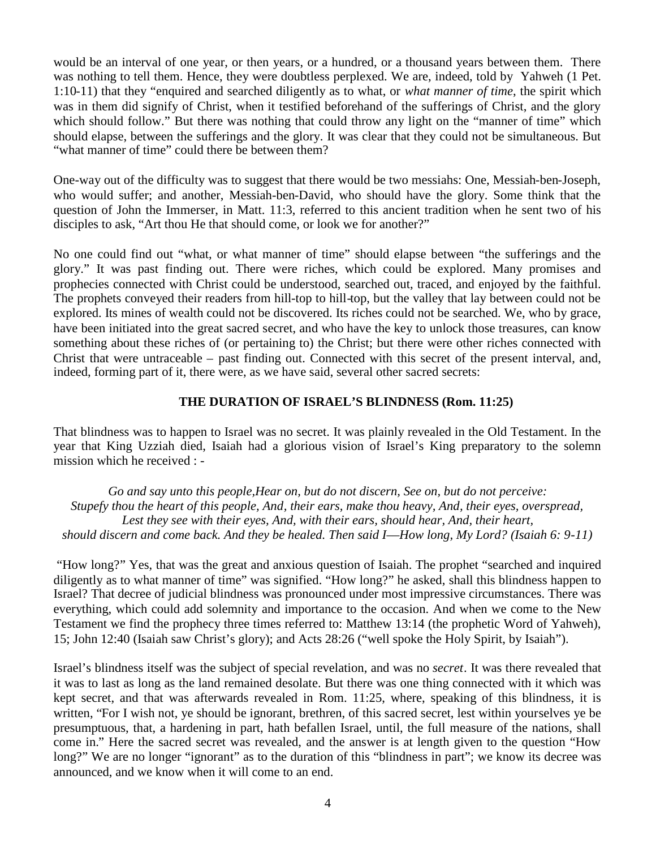would be an interval of one year, or then years, or a hundred, or a thousand years between them. There was nothing to tell them. Hence, they were doubtless perplexed. We are, indeed, told by Yahweh (1 Pet. 1:10-11) that they "enquired and searched diligently as to what, or *what manner of time*, the spirit which was in them did signify of Christ, when it testified beforehand of the sufferings of Christ, and the glory which should follow." But there was nothing that could throw any light on the "manner of time" which should elapse, between the sufferings and the glory. It was clear that they could not be simultaneous. But "what manner of time" could there be between them?

One-way out of the difficulty was to suggest that there would be two messiahs: One, Messiah-ben-Joseph, who would suffer; and another, Messiah-ben-David, who should have the glory. Some think that the question of John the Immerser, in Matt. 11:3, referred to this ancient tradition when he sent two of his disciples to ask, "Art thou He that should come, or look we for another?"

No one could find out "what, or what manner of time" should elapse between "the sufferings and the glory." It was past finding out. There were riches, which could be explored. Many promises and prophecies connected with Christ could be understood, searched out, traced, and enjoyed by the faithful. The prophets conveyed their readers from hill-top to hill-top, but the valley that lay between could not be explored. Its mines of wealth could not be discovered. Its riches could not be searched. We, who by grace, have been initiated into the great sacred secret, and who have the key to unlock those treasures, can know something about these riches of (or pertaining to) the Christ; but there were other riches connected with Christ that were untraceable – past finding out. Connected with this secret of the present interval, and, indeed, forming part of it, there were, as we have said, several other sacred secrets:

# **THE DURATION OF ISRAEL'S BLINDNESS (Rom. 11:25)**

That blindness was to happen to Israel was no secret. It was plainly revealed in the Old Testament. In the year that King Uzziah died, Isaiah had a glorious vision of Israel's King preparatory to the solemn mission which he received : -

*Go and say unto this people,Hear on, but do not discern, See on, but do not perceive: Stupefy thou the heart of this people, And, their ears, make thou heavy, And, their eyes, overspread, Lest they see with their eyes, And, with their ears, should hear, And, their heart, should discern and come back. And they be healed. Then said I––How long, My Lord? (Isaiah 6: 9-11)*

"How long?" Yes, that was the great and anxious question of Isaiah. The prophet "searched and inquired diligently as to what manner of time" was signified. "How long?" he asked, shall this blindness happen to Israel? That decree of judicial blindness was pronounced under most impressive circumstances. There was everything, which could add solemnity and importance to the occasion. And when we come to the New Testament we find the prophecy three times referred to: Matthew 13:14 (the prophetic Word of Yahweh), 15; John 12:40 (Isaiah saw Christ's glory); and Acts 28:26 ("well spoke the Holy Spirit, by Isaiah").

Israel's blindness itself was the subject of special revelation, and was no *secret*. It was there revealed that it was to last as long as the land remained desolate. But there was one thing connected with it which was kept secret, and that was afterwards revealed in Rom. 11:25, where, speaking of this blindness, it is written, "For I wish not, ye should be ignorant, brethren, of this sacred secret, lest within yourselves ye be presumptuous, that, a hardening in part, hath befallen Israel, until, the full measure of the nations, shall come in." Here the sacred secret was revealed, and the answer is at length given to the question "How long?" We are no longer "ignorant" as to the duration of this "blindness in part"; we know its decree was announced, and we know when it will come to an end.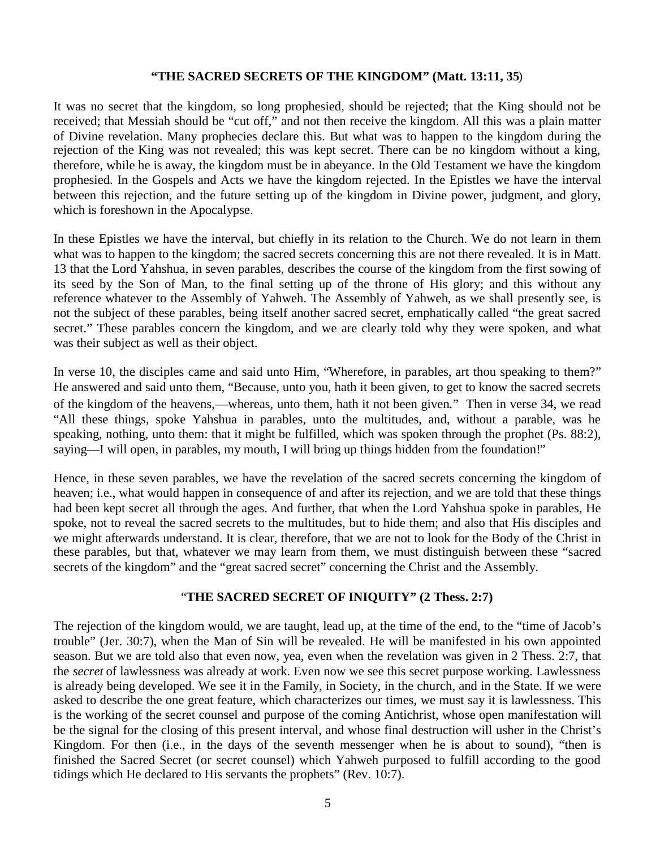## **"THE SACRED SECRETS OF THE KINGDOM" (Matt. 13:11, 35**)

It was no secret that the kingdom, so long prophesied, should be rejected; that the King should not be received; that Messiah should be "cut off," and not then receive the kingdom. All this was a plain matter of Divine revelation. Many prophecies declare this. But what was to happen to the kingdom during the rejection of the King was not revealed; this was kept secret. There can be no kingdom without a king, therefore, while he is away, the kingdom must be in abeyance. In the Old Testament we have the kingdom prophesied. In the Gospels and Acts we have the kingdom rejected. In the Epistles we have the interval between this rejection, and the future setting up of the kingdom in Divine power, judgment, and glory, which is foreshown in the Apocalypse.

In these Epistles we have the interval, but chiefly in its relation to the Church. We do not learn in them what was to happen to the kingdom; the sacred secrets concerning this are not there revealed. It is in Matt. 13 that the Lord Yahshua, in seven parables, describes the course of the kingdom from the first sowing of its seed by the Son of Man, to the final setting up of the throne of His glory; and this without any reference whatever to the Assembly of Yahweh. The Assembly of Yahweh, as we shall presently see, is not the subject of these parables, being itself another sacred secret, emphatically called "the great sacred secret." These parables concern the kingdom, and we are clearly told why they were spoken, and what was their subject as well as their object.

In verse 10, the disciples came and said unto Him, "Wherefore, in parables, art thou speaking to them?" He answered and said unto them, "Because, unto you, hath it been given, to get to know the sacred secrets of the kingdom of the heavens,––whereas, unto them, hath it not been given." Then in verse 34, we read "All these things, spoke Yahshua in parables, unto the multitudes, and, without a parable, was he speaking, nothing, unto them: that it might be fulfilled, which was spoken through the prophet (Ps. 88:2), saying—I will open, in parables, my mouth, I will bring up things hidden from the foundation!"

Hence, in these seven parables, we have the revelation of the sacred secrets concerning the kingdom of heaven; i.e., what would happen in consequence of and after its rejection, and we are told that these things had been kept secret all through the ages. And further, that when the Lord Yahshua spoke in parables, He spoke, not to reveal the sacred secrets to the multitudes, but to hide them; and also that His disciples and we might afterwards understand. It is clear, therefore, that we are not to look for the Body of the Christ in these parables, but that, whatever we may learn from them, we must distinguish between these "sacred secrets of the kingdom" and the "great sacred secret" concerning the Christ and the Assembly.

## "**THE SACRED SECRET OF INIQUITY" (2 Thess. 2:7)**

The rejection of the kingdom would, we are taught, lead up, at the time of the end, to the "time of Jacob's trouble" (Jer. 30:7), when the Man of Sin will be revealed. He will be manifested in his own appointed season. But we are told also that even now, yea, even when the revelation was given in 2 Thess. 2:7, that the *secret* of lawlessness was already at work. Even now we see this secret purpose working. Lawlessness is already being developed. We see it in the Family, in Society, in the church, and in the State. If we were asked to describe the one great feature, which characterizes our times, we must say it is lawlessness. This is the working of the secret counsel and purpose of the coming Antichrist, whose open manifestation will be the signal for the closing of this present interval, and whose final destruction will usher in the Christ's Kingdom. For then (i.e., in the days of the seventh messenger when he is about to sound), "then is finished the Sacred Secret (or secret counsel) which Yahweh purposed to fulfill according to the good tidings which He declared to His servants the prophets" (Rev. 10:7).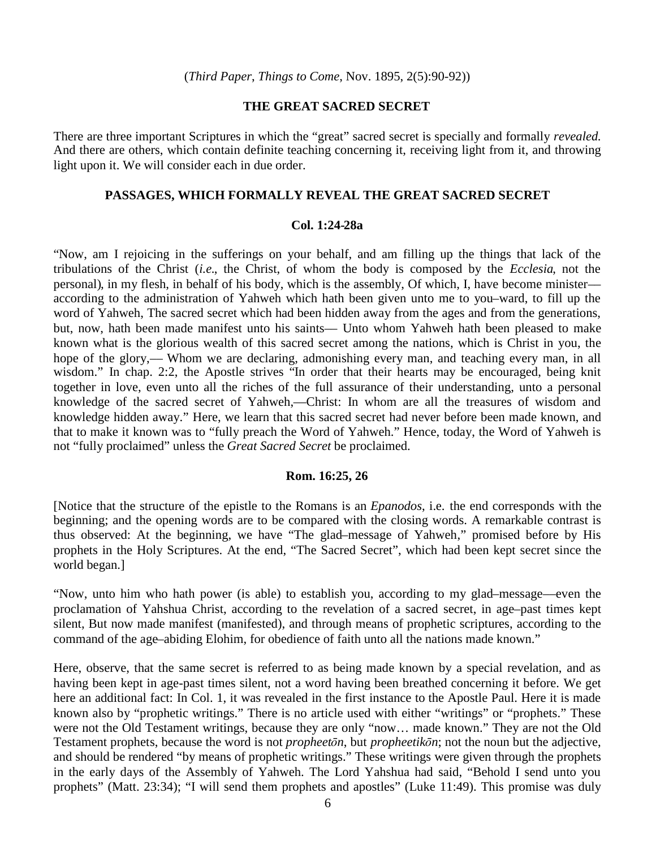## **THE GREAT SACRED SECRET**

There are three important Scriptures in which the "great" sacred secret is specially and formally *revealed*. And there are others, which contain definite teaching concerning it, receiving light from it, and throwing light upon it. We will consider each in due order.

#### **PASSAGES, WHICH FORMALLY REVEAL THE GREAT SACRED SECRET**

#### **Col. 1:24-28a**

"Now, am I rejoicing in the sufferings on your behalf, and am filling up the things that lack of the tribulations of the Christ (*i.e.*, the Christ, of whom the body is composed by the *Ecclesia*, not the personal), in my flesh, in behalf of his body, which is the assembly, Of which, I, have become minister–– according to the administration of Yahweh which hath been given unto me to you–ward, to fill up the word of Yahweh, The sacred secret which had been hidden away from the ages and from the generations, but, now, hath been made manifest unto his saints— Unto whom Yahweh hath been pleased to make known what is the glorious wealth of this sacred secret among the nations, which is Christ in you, the hope of the glory,— Whom we are declaring, admonishing every man, and teaching every man, in all wisdom." In chap. 2:2, the Apostle strives "In order that their hearts may be encouraged, being knit together in love, even unto all the riches of the full assurance of their understanding, unto a personal knowledge of the sacred secret of Yahweh,––Christ: In whom are all the treasures of wisdom and knowledge hidden away." Here, we learn that this sacred secret had never before been made known, and that to make it known was to "fully preach the Word of Yahweh." Hence, today, the Word of Yahweh is not "fully proclaimed" unless the *Great Sacred Secret* be proclaimed.

#### **Rom. 16:25, 26**

[Notice that the structure of the epistle to the Romans is an *Epanodos*, i.e. the end corresponds with the beginning; and the opening words are to be compared with the closing words. A remarkable contrast is thus observed: At the beginning, we have "The glad–message of Yahweh," promised before by His prophets in the Holy Scriptures. At the end, "The Sacred Secret", which had been kept secret since the world began.]

"Now, unto him who hath power (is able) to establish you, according to my glad–message––even the proclamation of Yahshua Christ, according to the revelation of a sacred secret, in age–past times kept silent, But now made manifest (manifested), and through means of prophetic scriptures, according to the command of the age–abiding Elohim, for obedience of faith unto all the nations made known."

Here, observe, that the same secret is referred to as being made known by a special revelation, and as having been kept in age-past times silent, not a word having been breathed concerning it before. We get here an additional fact: In Col. 1, it was revealed in the first instance to the Apostle Paul. Here it is made known also by "prophetic writings." There is no article used with either "writings" or "prophets." These were not the Old Testament writings, because they are only "now… made known." They are not the Old Testament prophets, because the word is not *propheetōn*, but *propheetikōn*; not the noun but the adjective, and should be rendered "by means of prophetic writings." These writings were given through the prophets in the early days of the Assembly of Yahweh. The Lord Yahshua had said, "Behold I send unto you prophets" (Matt. 23:34); "I will send them prophets and apostles" (Luke 11:49). This promise was duly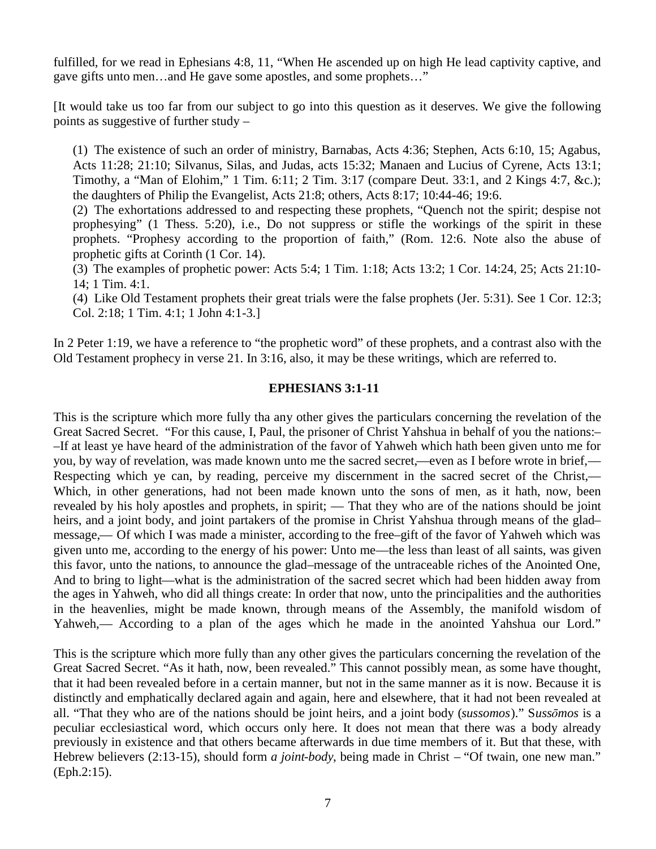fulfilled, for we read in Ephesians 4:8, 11, "When He ascended up on high He lead captivity captive, and gave gifts unto men…and He gave some apostles, and some prophets…"

[It would take us too far from our subject to go into this question as it deserves. We give the following points as suggestive of further study –

(1) The existence of such an order of ministry, Barnabas, Acts 4:36; Stephen, Acts 6:10, 15; Agabus, Acts 11:28; 21:10; Silvanus, Silas, and Judas, acts 15:32; Manaen and Lucius of Cyrene, Acts 13:1; Timothy, a "Man of Elohim," 1 Tim. 6:11; 2 Tim. 3:17 (compare Deut. 33:1, and 2 Kings 4:7, &c.); the daughters of Philip the Evangelist, Acts 21:8; others, Acts 8:17; 10:44-46; 19:6.

(2) The exhortations addressed to and respecting these prophets, "Quench not the spirit; despise not prophesying" (1 Thess. 5:20), i.e., Do not suppress or stifle the workings of the spirit in these prophets. "Prophesy according to the proportion of faith," (Rom. 12:6. Note also the abuse of prophetic gifts at Corinth (1 Cor. 14).

(3) The examples of prophetic power: Acts 5:4; 1 Tim. 1:18; Acts 13:2; 1 Cor. 14:24, 25; Acts 21:10- 14; 1 Tim. 4:1.

(4) Like Old Testament prophets their great trials were the false prophets (Jer. 5:31). See 1 Cor. 12:3; Col. 2:18; 1 Tim. 4:1; 1 John 4:1-3.]

In 2 Peter 1:19, we have a reference to "the prophetic word" of these prophets, and a contrast also with the Old Testament prophecy in verse 21. In 3:16, also, it may be these writings, which are referred to.

# **EPHESIANS 3:1-11**

This is the scripture which more fully tha any other gives the particulars concerning the revelation of the Great Sacred Secret. "For this cause, I, Paul, the prisoner of Christ Yahshua in behalf of you the nations:– –If at least ye have heard of the administration of the favor of Yahweh which hath been given unto me for you, by way of revelation, was made known unto me the sacred secret,—even as I before wrote in brief,— Respecting which ye can, by reading, perceive my discernment in the sacred secret of the Christ,— Which, in other generations, had not been made known unto the sons of men, as it hath, now, been revealed by his holy apostles and prophets, in spirit; — That they who are of the nations should be joint heirs, and a joint body, and joint partakers of the promise in Christ Yahshua through means of the glad– message,–– Of which I was made a minister, according to the free–gift of the favor of Yahweh which was given unto me, according to the energy of his power: Unto me––the less than least of all saints, was given this favor, unto the nations, to announce the glad–message of the untraceable riches of the Anointed One, And to bring to light––what is the administration of the sacred secret which had been hidden away from the ages in Yahweh, who did all things create: In order that now, unto the principalities and the authorities in the heavenlies, might be made known, through means of the Assembly, the manifold wisdom of Yahweh,— According to a plan of the ages which he made in the anointed Yahshua our Lord."

This is the scripture which more fully than any other gives the particulars concerning the revelation of the Great Sacred Secret. "As it hath, now, been revealed." This cannot possibly mean, as some have thought, that it had been revealed before in a certain manner, but not in the same manner as it is now. Because it is distinctly and emphatically declared again and again, here and elsewhere, that it had not been revealed at all. "That they who are of the nations should be joint heirs, and a joint body (*sussomos*)." S*ussōmos* is a peculiar ecclesiastical word, which occurs only here. It does not mean that there was a body already previously in existence and that others became afterwards in due time members of it. But that these, with Hebrew believers (2:13-15), should form *a joint-body*, being made in Christ – "Of twain, one new man." (Eph.2:15).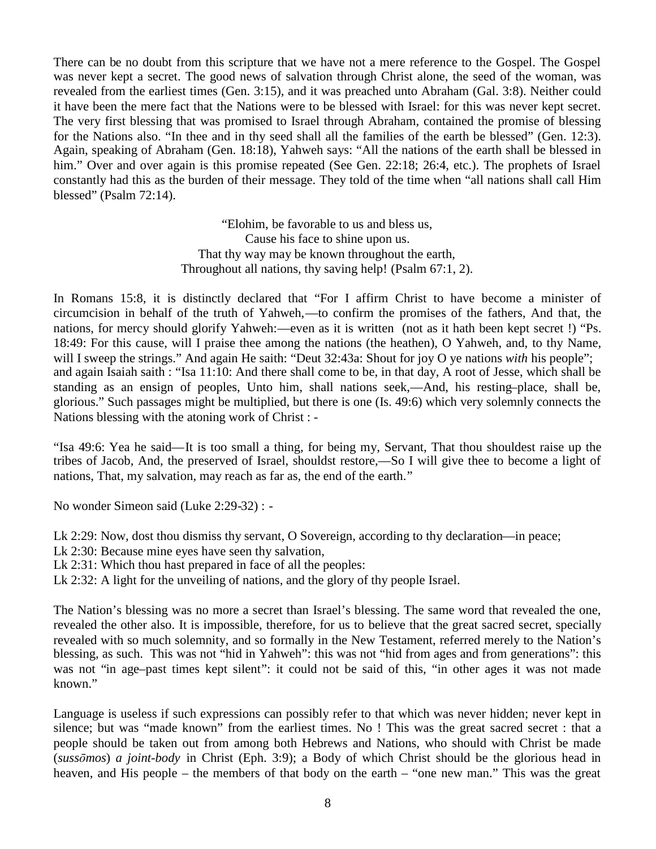There can be no doubt from this scripture that we have not a mere reference to the Gospel. The Gospel was never kept a secret. The good news of salvation through Christ alone, the seed of the woman, was revealed from the earliest times (Gen. 3:15), and it was preached unto Abraham (Gal. 3:8). Neither could it have been the mere fact that the Nations were to be blessed with Israel: for this was never kept secret. The very first blessing that was promised to Israel through Abraham, contained the promise of blessing for the Nations also. "In thee and in thy seed shall all the families of the earth be blessed" (Gen. 12:3). Again, speaking of Abraham (Gen. 18:18), Yahweh says: "All the nations of the earth shall be blessed in him." Over and over again is this promise repeated (See Gen. 22:18; 26:4, etc.). The prophets of Israel constantly had this as the burden of their message. They told of the time when "all nations shall call Him blessed" (Psalm 72:14).

> "Elohim, be favorable to us and bless us, Cause his face to shine upon us. That thy way may be known throughout the earth, Throughout all nations, thy saving help! (Psalm 67:1, 2).

In Romans 15:8, it is distinctly declared that "For I affirm Christ to have become a minister of circumcision in behalf of the truth of Yahweh,––to confirm the promises of the fathers, And that, the nations, for mercy should glorify Yahweh:—even as it is written (not as it hath been kept secret !) "Ps. 18:49: For this cause, will I praise thee among the nations (the heathen), O Yahweh, and, to thy Name, will I sweep the strings." And again He saith: "Deut 32:43a: Shout for joy O ye nations *with* his people"; and again Isaiah saith : "Isa 11:10: And there shall come to be, in that day, A root of Jesse, which shall be standing as an ensign of peoples, Unto him, shall nations seek,––And, his resting–place, shall be, glorious." Such passages might be multiplied, but there is one (Is. 49:6) which very solemnly connects the Nations blessing with the atoning work of Christ : -

"Isa 49:6: Yea he said––It is too small a thing, for being my, Servant, That thou shouldest raise up the tribes of Jacob, And, the preserved of Israel, shouldst restore,––So I will give thee to become a light of nations, That, my salvation, may reach as far as, the end of the earth."

No wonder Simeon said (Luke 2:29-32) : -

Lk 2:29: Now, dost thou dismiss thy servant, O Sovereign, according to thy declaration––in peace;

- Lk 2:30: Because mine eyes have seen thy salvation,
- Lk 2:31: Which thou hast prepared in face of all the peoples:
- Lk 2:32: A light for the unveiling of nations, and the glory of thy people Israel.

The Nation's blessing was no more a secret than Israel's blessing. The same word that revealed the one, revealed the other also. It is impossible, therefore, for us to believe that the great sacred secret, specially revealed with so much solemnity, and so formally in the New Testament, referred merely to the Nation's blessing, as such. This was not "hid in Yahweh": this was not "hid from ages and from generations": this was not "in age–past times kept silent": it could not be said of this, "in other ages it was not made known."

Language is useless if such expressions can possibly refer to that which was never hidden; never kept in silence; but was "made known" from the earliest times. No ! This was the great sacred secret : that a people should be taken out from among both Hebrews and Nations, who should with Christ be made (*sussōmos*) *a joint-body* in Christ (Eph. 3:9); a Body of which Christ should be the glorious head in heaven, and His people – the members of that body on the earth – "one new man." This was the great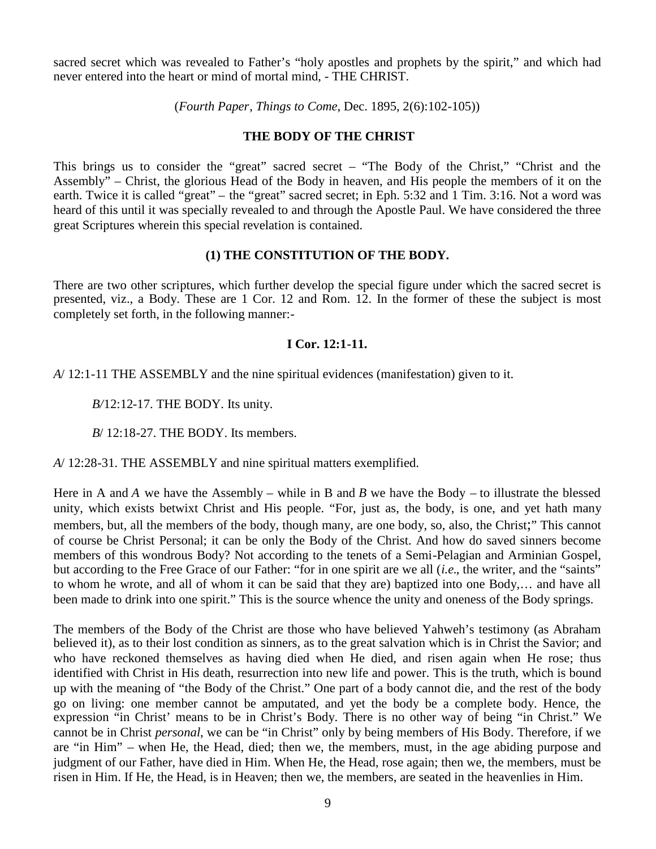sacred secret which was revealed to Father's "holy apostles and prophets by the spirit," and which had never entered into the heart or mind of mortal mind, - THE CHRIST.

(*Fourth Paper*, *Things to Come*, Dec. 1895, 2(6):102-105))

# **THE BODY OF THE CHRIST**

This brings us to consider the "great" sacred secret – "The Body of the Christ," "Christ and the Assembly" – Christ, the glorious Head of the Body in heaven, and His people the members of it on the earth. Twice it is called "great" – the "great" sacred secret; in Eph. 5:32 and 1 Tim. 3:16. Not a word was heard of this until it was specially revealed to and through the Apostle Paul. We have considered the three great Scriptures wherein this special revelation is contained.

## **(1) THE CONSTITUTION OF THE BODY.**

There are two other scriptures, which further develop the special figure under which the sacred secret is presented, viz., a Body. These are 1 Cor. 12 and Rom. 12. In the former of these the subject is most completely set forth, in the following manner:-

# **I Cor. 12:1-11.**

*A*/ 12:1-11 THE ASSEMBLY and the nine spiritual evidences (manifestation) given to it.

*B/*12:12-17. THE BODY. Its unity.

*B*/ 12:18-27. THE BODY. Its members.

*A*/ 12:28-31. THE ASSEMBLY and nine spiritual matters exemplified.

Here in A and *A* we have the Assembly – while in B and *B* we have the Body – to illustrate the blessed unity, which exists betwixt Christ and His people. "For, just as, the body, is one, and yet hath many members, but, all the members of the body, though many, are one body, so, also, the Christ;" This cannot of course be Christ Personal; it can be only the Body of the Christ. And how do saved sinners become members of this wondrous Body? Not according to the tenets of a Semi-Pelagian and Arminian Gospel, but according to the Free Grace of our Father: "for in one spirit are we all (*i.e.*, the writer, and the "saints" to whom he wrote, and all of whom it can be said that they are) baptized into one Body,… and have all been made to drink into one spirit." This is the source whence the unity and oneness of the Body springs.

The members of the Body of the Christ are those who have believed Yahweh's testimony (as Abraham believed it), as to their lost condition as sinners, as to the great salvation which is in Christ the Savior; and who have reckoned themselves as having died when He died, and risen again when He rose; thus identified with Christ in His death, resurrection into new life and power. This is the truth, which is bound up with the meaning of "the Body of the Christ." One part of a body cannot die, and the rest of the body go on living: one member cannot be amputated, and yet the body be a complete body. Hence, the expression "in Christ' means to be in Christ's Body. There is no other way of being "in Christ." We cannot be in Christ *personal*, we can be "in Christ" only by being members of His Body. Therefore, if we are "in Him" – when He, the Head, died; then we, the members, must, in the age abiding purpose and judgment of our Father, have died in Him. When He, the Head, rose again; then we, the members, must be risen in Him. If He, the Head, is in Heaven; then we, the members, are seated in the heavenlies in Him.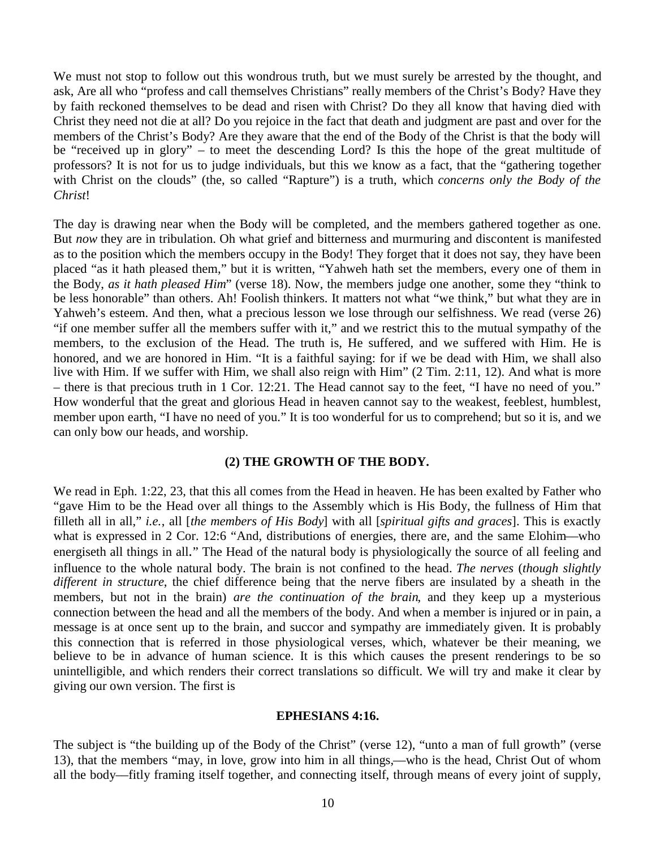We must not stop to follow out this wondrous truth, but we must surely be arrested by the thought, and ask, Are all who "profess and call themselves Christians" really members of the Christ's Body? Have they by faith reckoned themselves to be dead and risen with Christ? Do they all know that having died with Christ they need not die at all? Do you rejoice in the fact that death and judgment are past and over for the members of the Christ's Body? Are they aware that the end of the Body of the Christ is that the body will be "received up in glory" – to meet the descending Lord? Is this the hope of the great multitude of professors? It is not for us to judge individuals, but this we know as a fact, that the "gathering together with Christ on the clouds" (the, so called "Rapture") is a truth, which *concerns only the Body of the Christ*!

The day is drawing near when the Body will be completed, and the members gathered together as one. But *now* they are in tribulation. Oh what grief and bitterness and murmuring and discontent is manifested as to the position which the members occupy in the Body! They forget that it does not say, they have been placed "as it hath pleased them," but it is written, "Yahweh hath set the members, every one of them in the Body, *as it hath pleased Him*" (verse 18). Now, the members judge one another, some they "think to be less honorable" than others. Ah! Foolish thinkers. It matters not what "we think," but what they are in Yahweh's esteem. And then, what a precious lesson we lose through our selfishness. We read (verse 26) "if one member suffer all the members suffer with it," and we restrict this to the mutual sympathy of the members, to the exclusion of the Head. The truth is, He suffered, and we suffered with Him. He is honored, and we are honored in Him. "It is a faithful saying: for if we be dead with Him, we shall also live with Him. If we suffer with Him, we shall also reign with Him" (2 Tim. 2:11, 12). And what is more – there is that precious truth in 1 Cor. 12:21. The Head cannot say to the feet, "I have no need of you." How wonderful that the great and glorious Head in heaven cannot say to the weakest, feeblest, humblest, member upon earth, "I have no need of you." It is too wonderful for us to comprehend; but so it is, and we can only bow our heads, and worship.

#### **(2) THE GROWTH OF THE BODY.**

We read in Eph. 1:22, 23, that this all comes from the Head in heaven. He has been exalted by Father who "gave Him to be the Head over all things to the Assembly which is His Body, the fullness of Him that filleth all in all," *i.e.*, all [*the members of His Body*] with all [*spiritual gifts and graces*]. This is exactly what is expressed in 2 Cor. 12:6 "And, distributions of energies, there are, and the same Elohim—who energiseth all things in all." The Head of the natural body is physiologically the source of all feeling and influence to the whole natural body. The brain is not confined to the head. *The nerves* (*though slightly different in structure*, the chief difference being that the nerve fibers are insulated by a sheath in the members, but not in the brain) *are the continuation of the brain*, and they keep up a mysterious connection between the head and all the members of the body. And when a member is injured or in pain, a message is at once sent up to the brain, and succor and sympathy are immediately given. It is probably this connection that is referred in those physiological verses, which, whatever be their meaning, we believe to be in advance of human science. It is this which causes the present renderings to be so unintelligible, and which renders their correct translations so difficult. We will try and make it clear by giving our own version. The first is

#### **EPHESIANS 4:16.**

The subject is "the building up of the Body of the Christ" (verse 12), "unto a man of full growth" (verse 13), that the members "may, in love, grow into him in all things,––who is the head, Christ Out of whom all the body––fitly framing itself together, and connecting itself, through means of every joint of supply,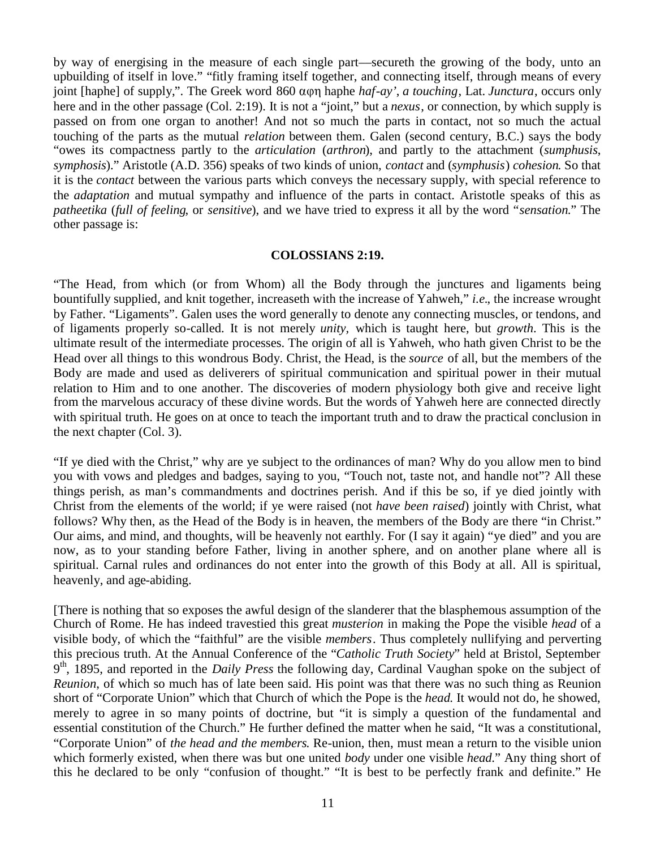by way of energising in the measure of each single part––secureth the growing of the body, unto an upbuilding of itself in love." "fitly framing itself together, and connecting itself, through means of every joint [haphe] of supply,". The Greek word 860 αφη haphe *haf-ay'*, *a touching*, Lat. *Junctura*, occurs only here and in the other passage (Col. 2:19). It is not a "joint," but a *nexus*, or connection, by which supply is passed on from one organ to another! And not so much the parts in contact, not so much the actual touching of the parts as the mutual *relation* between them. Galen (second century, B.C.) says the body "owes its compactness partly to the *articulation* (*arthron*), and partly to the attachment (*sumphusis*, *symphosis*)." Aristotle (A.D. 356) speaks of two kinds of union, *contact* and (*symphusis*) *cohesion*. So that it is the *contact* between the various parts which conveys the necessary supply, with special reference to the *adaptation* and mutual sympathy and influence of the parts in contact. Aristotle speaks of this as *patheetika* (*full of feeling*, or *sensitive*), and we have tried to express it all by the word "*sensation*." The other passage is:

## **COLOSSIANS 2:19.**

"The Head, from which (or from Whom) all the Body through the junctures and ligaments being bountifully supplied, and knit together, increaseth with the increase of Yahweh," *i.e.*, the increase wrought by Father. "Ligaments". Galen uses the word generally to denote any connecting muscles, or tendons, and of ligaments properly so-called. It is not merely *unity,* which is taught here, but *growth*. This is the ultimate result of the intermediate processes. The origin of all is Yahweh, who hath given Christ to be the Head over all things to this wondrous Body. Christ, the Head, is the *source* of all, but the members of the Body are made and used as deliverers of spiritual communication and spiritual power in their mutual relation to Him and to one another. The discoveries of modern physiology both give and receive light from the marvelous accuracy of these divine words. But the words of Yahweh here are connected directly with spiritual truth. He goes on at once to teach the important truth and to draw the practical conclusion in the next chapter (Col. 3).

"If ye died with the Christ," why are ye subject to the ordinances of man? Why do you allow men to bind you with vows and pledges and badges, saying to you, "Touch not, taste not, and handle not"? All these things perish, as man's commandments and doctrines perish. And if this be so, if ye died jointly with Christ from the elements of the world; if ye were raised (not *have been raised*) jointly with Christ, what follows? Why then, as the Head of the Body is in heaven, the members of the Body are there "in Christ." Our aims, and mind, and thoughts, will be heavenly not earthly. For (I say it again) "ye died" and you are now, as to your standing before Father, living in another sphere, and on another plane where all is spiritual. Carnal rules and ordinances do not enter into the growth of this Body at all. All is spiritual, heavenly, and age-abiding.

[There is nothing that so exposes the awful design of the slanderer that the blasphemous assumption of the Church of Rome. He has indeed travestied this great *musterion* in making the Pope the visible *head* of a visible body, of which the "faithful" are the visible *members*. Thus completely nullifying and perverting this precious truth. At the Annual Conference of the "*Catholic Truth Society*" held at Bristol, September 9<sup>th</sup>, 1895, and reported in the *Daily Press* the following day, Cardinal Vaughan spoke on the subject of *Reunion*, of which so much has of late been said. His point was that there was no such thing as Reunion short of "Corporate Union" which that Church of which the Pope is the *head*. It would not do, he showed, merely to agree in so many points of doctrine, but "it is simply a question of the fundamental and essential constitution of the Church." He further defined the matter when he said, "It was a constitutional, "Corporate Union" of *the head and the members*. Re-union, then, must mean a return to the visible union which formerly existed, when there was but one united *body* under one visible *head*." Any thing short of this he declared to be only "confusion of thought." "It is best to be perfectly frank and definite." He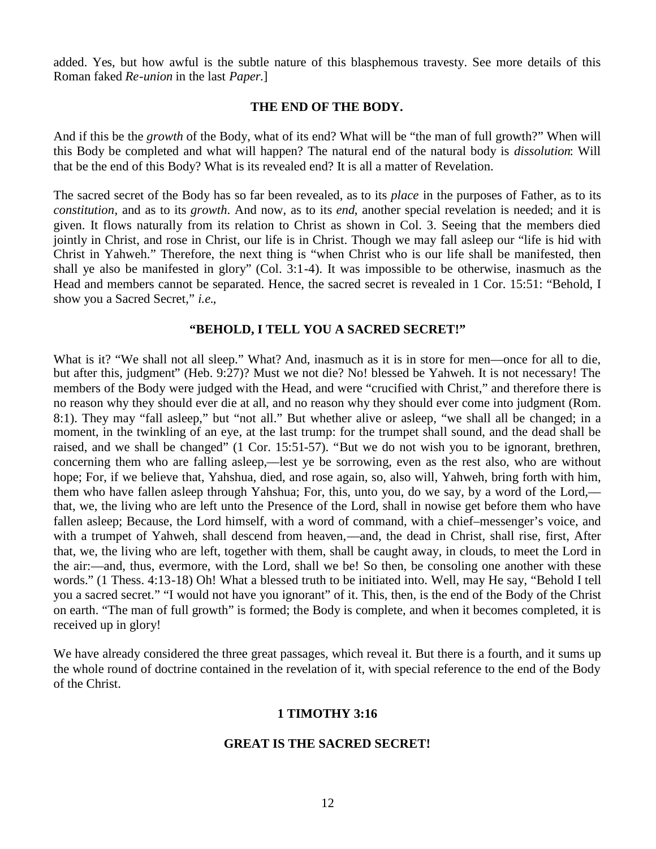added. Yes, but how awful is the subtle nature of this blasphemous travesty. See more details of this Roman faked *Re-union* in the last *Paper*.]

#### **THE END OF THE BODY.**

And if this be the *growth* of the Body, what of its end? What will be "the man of full growth?" When will this Body be completed and what will happen? The natural end of the natural body is *dissolution*: Will that be the end of this Body? What is its revealed end? It is all a matter of Revelation.

The sacred secret of the Body has so far been revealed, as to its *place* in the purposes of Father, as to its *constitution*, and as to its *growth*. And now, as to its *end*, another special revelation is needed; and it is given. It flows naturally from its relation to Christ as shown in Col. 3. Seeing that the members died jointly in Christ, and rose in Christ, our life is in Christ. Though we may fall asleep our "life is hid with Christ in Yahweh." Therefore, the next thing is "when Christ who is our life shall be manifested, then shall ye also be manifested in glory" (Col. 3:1-4). It was impossible to be otherwise, inasmuch as the Head and members cannot be separated. Hence, the sacred secret is revealed in 1 Cor. 15:51: "Behold, I show you a Sacred Secret," *i.e.*,

#### **"BEHOLD, I TELL YOU A SACRED SECRET!"**

What is it? "We shall not all sleep." What? And, inasmuch as it is in store for men—once for all to die, but after this, judgment" (Heb. 9:27)? Must we not die? No! blessed be Yahweh. It is not necessary! The members of the Body were judged with the Head, and were "crucified with Christ," and therefore there is no reason why they should ever die at all, and no reason why they should ever come into judgment (Rom. 8:1). They may "fall asleep," but "not all." But whether alive or asleep, "we shall all be changed; in a moment, in the twinkling of an eye, at the last trump: for the trumpet shall sound, and the dead shall be raised, and we shall be changed" (1 Cor. 15:51-57). "But we do not wish you to be ignorant, brethren, concerning them who are falling asleep,––lest ye be sorrowing, even as the rest also, who are without hope; For, if we believe that, Yahshua, died, and rose again, so, also will, Yahweh, bring forth with him, them who have fallen asleep through Yahshua; For, this, unto you, do we say, by a word of the Lord,–– that, we, the living who are left unto the Presence of the Lord, shall in nowise get before them who have fallen asleep; Because, the Lord himself, with a word of command, with a chief–messenger's voice, and with a trumpet of Yahweh, shall descend from heaven,—and, the dead in Christ, shall rise, first, After that, we, the living who are left, together with them, shall be caught away, in clouds, to meet the Lord in the air:––and, thus, evermore, with the Lord, shall we be! So then, be consoling one another with these words." (1 Thess. 4:13-18) Oh! What a blessed truth to be initiated into. Well, may He say, "Behold I tell you a sacred secret." "I would not have you ignorant" of it. This, then, is the end of the Body of the Christ on earth. "The man of full growth" is formed; the Body is complete, and when it becomes completed, it is received up in glory!

We have already considered the three great passages, which reveal it. But there is a fourth, and it sums up the whole round of doctrine contained in the revelation of it, with special reference to the end of the Body of the Christ.

## **1 TIMOTHY 3:16**

## **GREAT IS THE SACRED SECRET!**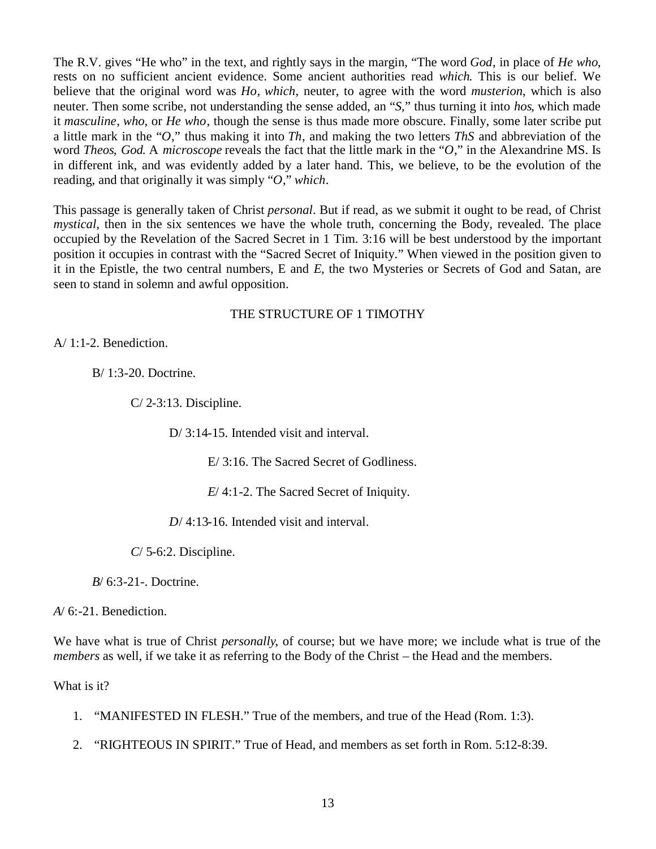The R.V. gives "He who" in the text, and rightly says in the margin, "The word *God*, in place of *He who*, rests on no sufficient ancient evidence. Some ancient authorities read *which*. This is our belief. We believe that the original word was *Ho*, *which*, neuter, to agree with the word *musterion*, which is also neuter. Then some scribe, not understanding the sense added, an "*S*," thus turning it into *hos*, which made it *masculine*, *who*, or *He who*, though the sense is thus made more obscure. Finally, some later scribe put a little mark in the "*O*," thus making it into *Th*, and making the two letters *ThS* and abbreviation of the word *Theos*, *God*. A *microscope* reveals the fact that the little mark in the "*O*," in the Alexandrine MS. Is in different ink, and was evidently added by a later hand. This, we believe, to be the evolution of the reading, and that originally it was simply "*O*," *which*.

This passage is generally taken of Christ *personal*. But if read, as we submit it ought to be read, of Christ *mystical*, then in the six sentences we have the whole truth, concerning the Body, revealed. The place occupied by the Revelation of the Sacred Secret in 1 Tim. 3:16 will be best understood by the important position it occupies in contrast with the "Sacred Secret of Iniquity." When viewed in the position given to it in the Epistle, the two central numbers, E and *E*, the two Mysteries or Secrets of God and Satan, are seen to stand in solemn and awful opposition.

# THE STRUCTURE OF 1 TIMOTHY

A/ 1:1-2. Benediction.

B/ 1:3-20. Doctrine.

C/ 2-3:13. Discipline.

D/ 3:14-15. Intended visit and interval.

E/ 3:16. The Sacred Secret of Godliness.

*E*/ 4:1-2. The Sacred Secret of Iniquity.

*D*/ 4:13-16. Intended visit and interval.

*C*/ 5-6:2. Discipline.

*B*/ 6:3-21-. Doctrine.

*A*/ 6:-21. Benediction.

We have what is true of Christ *personally*, of course; but we have more; we include what is true of the *members* as well, if we take it as referring to the Body of the Christ – the Head and the members.

What is it?

- 1. "MANIFESTED IN FLESH." True of the members, and true of the Head (Rom. 1:3).
- 2. "RIGHTEOUS IN SPIRIT." True of Head, and members as set forth in Rom. 5:12-8:39.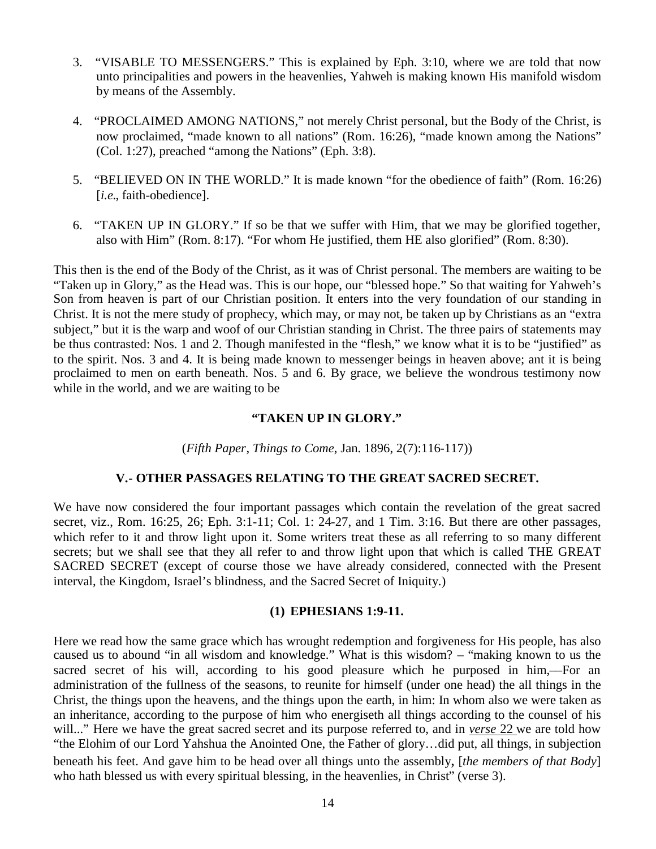- 3. "VISABLE TO MESSENGERS." This is explained by Eph. 3:10, where we are told that now unto principalities and powers in the heavenlies, Yahweh is making known His manifold wisdom by means of the Assembly.
- 4. "PROCLAIMED AMONG NATIONS," not merely Christ personal, but the Body of the Christ, is now proclaimed, "made known to all nations" (Rom. 16:26), "made known among the Nations" (Col. 1:27), preached "among the Nations" (Eph. 3:8).
- 5. "BELIEVED ON IN THE WORLD." It is made known "for the obedience of faith" (Rom. 16:26) [*i.e.*, faith-obedience].
- 6. "TAKEN UP IN GLORY." If so be that we suffer with Him, that we may be glorified together, also with Him" (Rom. 8:17). "For whom He justified, them HE also glorified" (Rom. 8:30).

This then is the end of the Body of the Christ, as it was of Christ personal. The members are waiting to be "Taken up in Glory," as the Head was. This is our hope, our "blessed hope." So that waiting for Yahweh's Son from heaven is part of our Christian position. It enters into the very foundation of our standing in Christ. It is not the mere study of prophecy, which may, or may not, be taken up by Christians as an "extra subject," but it is the warp and woof of our Christian standing in Christ. The three pairs of statements may be thus contrasted: Nos. 1 and 2. Though manifested in the "flesh," we know what it is to be "justified" as to the spirit. Nos. 3 and 4. It is being made known to messenger beings in heaven above; ant it is being proclaimed to men on earth beneath. Nos. 5 and 6. By grace, we believe the wondrous testimony now while in the world, and we are waiting to be

## **"TAKEN UP IN GLORY."**

(*Fifth Paper*, *Things to Come*, Jan. 1896, 2(7):116-117))

## **V.- OTHER PASSAGES RELATING TO THE GREAT SACRED SECRET.**

We have now considered the four important passages which contain the revelation of the great sacred secret, viz., Rom. 16:25, 26; Eph. 3:1-11; Col. 1: 24-27, and 1 Tim. 3:16. But there are other passages, which refer to it and throw light upon it. Some writers treat these as all referring to so many different secrets; but we shall see that they all refer to and throw light upon that which is called THE GREAT SACRED SECRET (except of course those we have already considered, connected with the Present interval, the Kingdom, Israel's blindness, and the Sacred Secret of Iniquity.)

## **(1) EPHESIANS 1:9-11.**

Here we read how the same grace which has wrought redemption and forgiveness for His people, has also caused us to abound "in all wisdom and knowledge." What is this wisdom? – "making known to us the sacred secret of his will, according to his good pleasure which he purposed in him,—For an administration of the fullness of the seasons, to reunite for himself (under one head) the all things in the Christ, the things upon the heavens, and the things upon the earth, in him: In whom also we were taken as an inheritance, according to the purpose of him who energiseth all things according to the counsel of his will..." Here we have the great sacred secret and its purpose referred to, and in *verse* 22 we are told how "the Elohim of our Lord Yahshua the Anointed One, the Father of glory…did put, all things, in subjection beneath his feet. And gave him to be head over all things unto the assembly, [*the members of that Body*] who hath blessed us with every spiritual blessing, in the heavenlies, in Christ" (verse 3).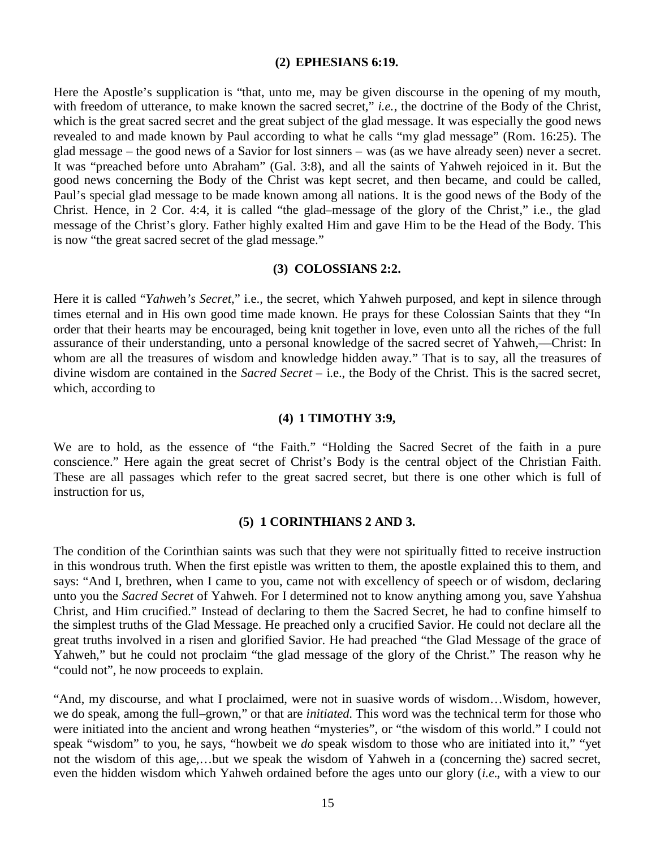#### **(2) EPHESIANS 6:19.**

Here the Apostle's supplication is "that, unto me, may be given discourse in the opening of my mouth, with freedom of utterance, to make known the sacred secret," *i.e.*, the doctrine of the Body of the Christ, which is the great sacred secret and the great subject of the glad message. It was especially the good news revealed to and made known by Paul according to what he calls "my glad message" (Rom. 16:25). The glad message – the good news of a Savior for lost sinners – was (as we have already seen) never a secret. It was "preached before unto Abraham" (Gal. 3:8), and all the saints of Yahweh rejoiced in it. But the good news concerning the Body of the Christ was kept secret, and then became, and could be called, Paul's special glad message to be made known among all nations. It is the good news of the Body of the Christ. Hence, in 2 Cor. 4:4, it is called "the glad–message of the glory of the Christ," i.e., the glad message of the Christ's glory. Father highly exalted Him and gave Him to be the Head of the Body. This is now "the great sacred secret of the glad message."

#### **(3) COLOSSIANS 2:2.**

Here it is called "*Yahwe*h*'s Secret*," i.e., the secret, which Yahweh purposed, and kept in silence through times eternal and in His own good time made known. He prays for these Colossian Saints that they "In order that their hearts may be encouraged, being knit together in love, even unto all the riches of the full assurance of their understanding, unto a personal knowledge of the sacred secret of Yahweh,––Christ: In whom are all the treasures of wisdom and knowledge hidden away." That is to say, all the treasures of divine wisdom are contained in the *Sacred Secret* – i.e., the Body of the Christ. This is the sacred secret, which, according to

#### **(4) 1 TIMOTHY 3:9,**

We are to hold, as the essence of "the Faith." "Holding the Sacred Secret of the faith in a pure conscience." Here again the great secret of Christ's Body is the central object of the Christian Faith. These are all passages which refer to the great sacred secret, but there is one other which is full of instruction for us,

#### **(5) 1 CORINTHIANS 2 AND 3.**

The condition of the Corinthian saints was such that they were not spiritually fitted to receive instruction in this wondrous truth. When the first epistle was written to them, the apostle explained this to them, and says: "And I, brethren, when I came to you, came not with excellency of speech or of wisdom, declaring unto you the *Sacred Secret* of Yahweh. For I determined not to know anything among you, save Yahshua Christ, and Him crucified." Instead of declaring to them the Sacred Secret, he had to confine himself to the simplest truths of the Glad Message. He preached only a crucified Savior. He could not declare all the great truths involved in a risen and glorified Savior. He had preached "the Glad Message of the grace of Yahweh," but he could not proclaim "the glad message of the glory of the Christ." The reason why he "could not", he now proceeds to explain.

"And, my discourse, and what I proclaimed, were not in suasive words of wisdom…Wisdom, however, we do speak, among the full–grown," or that are *initiated*. This word was the technical term for those who were initiated into the ancient and wrong heathen "mysteries", or "the wisdom of this world." I could not speak "wisdom" to you, he says, "howbeit we *do* speak wisdom to those who are initiated into it," "yet not the wisdom of this age,…but we speak the wisdom of Yahweh in a (concerning the) sacred secret, even the hidden wisdom which Yahweh ordained before the ages unto our glory (*i.e.*, with a view to our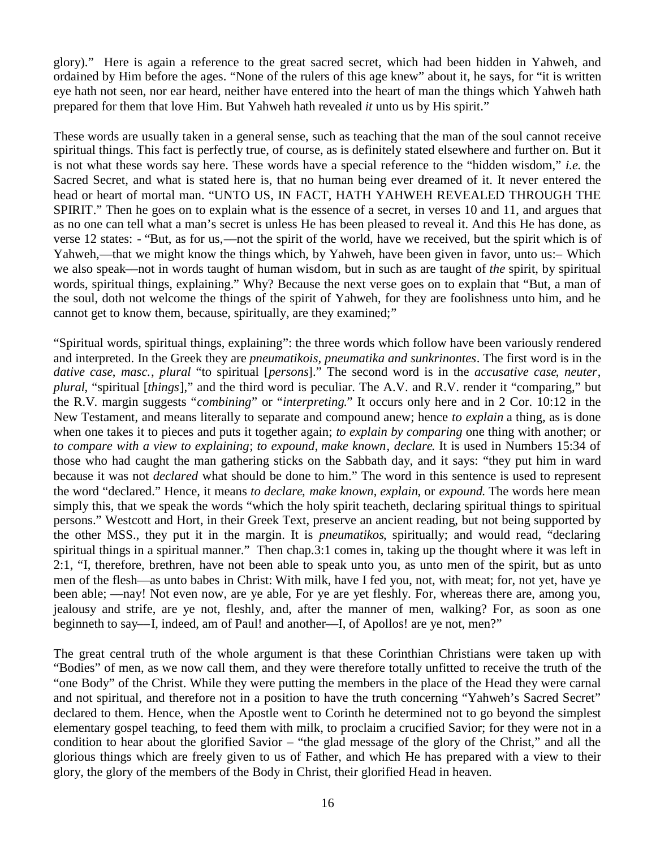glory)." Here is again a reference to the great sacred secret, which had been hidden in Yahweh, and ordained by Him before the ages. "None of the rulers of this age knew" about it, he says, for "it is written eye hath not seen, nor ear heard, neither have entered into the heart of man the things which Yahweh hath prepared for them that love Him. But Yahweh hath revealed *it* unto us by His spirit."

These words are usually taken in a general sense, such as teaching that the man of the soul cannot receive spiritual things. This fact is perfectly true, of course, as is definitely stated elsewhere and further on. But it is not what these words say here. These words have a special reference to the "hidden wisdom," *i.e.* the Sacred Secret, and what is stated here is, that no human being ever dreamed of it. It never entered the head or heart of mortal man. "UNTO US, IN FACT, HATH YAHWEH REVEALED THROUGH THE SPIRIT." Then he goes on to explain what is the essence of a secret, in verses 10 and 11, and argues that as no one can tell what a man's secret is unless He has been pleased to reveal it. And this He has done, as verse 12 states: - "But, as for us,––not the spirit of the world, have we received, but the spirit which is of Yahweh,—that we might know the things which, by Yahweh, have been given in favor, unto us:— Which we also speak––not in words taught of human wisdom, but in such as are taught of *the* spirit, by spiritual words, spiritual things, explaining." Why? Because the next verse goes on to explain that "But, a man of the soul, doth not welcome the things of the spirit of Yahweh, for they are foolishness unto him, and he cannot get to know them, because, spiritually, are they examined;"

"Spiritual words, spiritual things, explaining": the three words which follow have been variously rendered and interpreted. In the Greek they are *pneumatikois, pneumatika and sunkrinontes*. The first word is in the *dative case*, *masc.*, *plural* "to spiritual [*persons*]." The second word is in the *accusative case*, *neuter*, *plural*, "spiritual [*things*]," and the third word is peculiar. The A.V. and R.V. render it "comparing," but the R.V. margin suggests "*combining*" or "*interpreting*." It occurs only here and in 2 Cor. 10:12 in the New Testament, and means literally to separate and compound anew; hence *to explain* a thing, as is done when one takes it to pieces and puts it together again; *to explain by comparing* one thing with another; or *to compare with a view to explaining*; *to expound*, *make known*, *declare*. It is used in Numbers 15:34 of those who had caught the man gathering sticks on the Sabbath day, and it says: "they put him in ward because it was not *declared* what should be done to him." The word in this sentence is used to represent the word "declared." Hence, it means *to declare*, *make known*, *explain*, or *expound*. The words here mean simply this, that we speak the words "which the holy spirit teacheth, declaring spiritual things to spiritual persons." Westcott and Hort, in their Greek Text, preserve an ancient reading, but not being supported by the other MSS., they put it in the margin. It is *pneumatikos*, spiritually; and would read, "declaring spiritual things in a spiritual manner." Then chap.3:1 comes in, taking up the thought where it was left in 2:1, "I, therefore, brethren, have not been able to speak unto you, as unto men of the spirit, but as unto men of the flesh––as unto babes in Christ: With milk, have I fed you, not, with meat; for, not yet, have ye been able; ––nay! Not even now, are ye able, For ye are yet fleshly. For, whereas there are, among you, jealousy and strife, are ye not, fleshly, and, after the manner of men, walking? For, as soon as one beginneth to say—I, indeed, am of Paul! and another—I, of Apollos! are ye not, men?"

The great central truth of the whole argument is that these Corinthian Christians were taken up with "Bodies" of men, as we now call them, and they were therefore totally unfitted to receive the truth of the "one Body" of the Christ. While they were putting the members in the place of the Head they were carnal and not spiritual, and therefore not in a position to have the truth concerning "Yahweh's Sacred Secret" declared to them. Hence, when the Apostle went to Corinth he determined not to go beyond the simplest elementary gospel teaching, to feed them with milk, to proclaim a crucified Savior; for they were not in a condition to hear about the glorified Savior – "the glad message of the glory of the Christ," and all the glorious things which are freely given to us of Father, and which He has prepared with a view to their glory, the glory of the members of the Body in Christ, their glorified Head in heaven.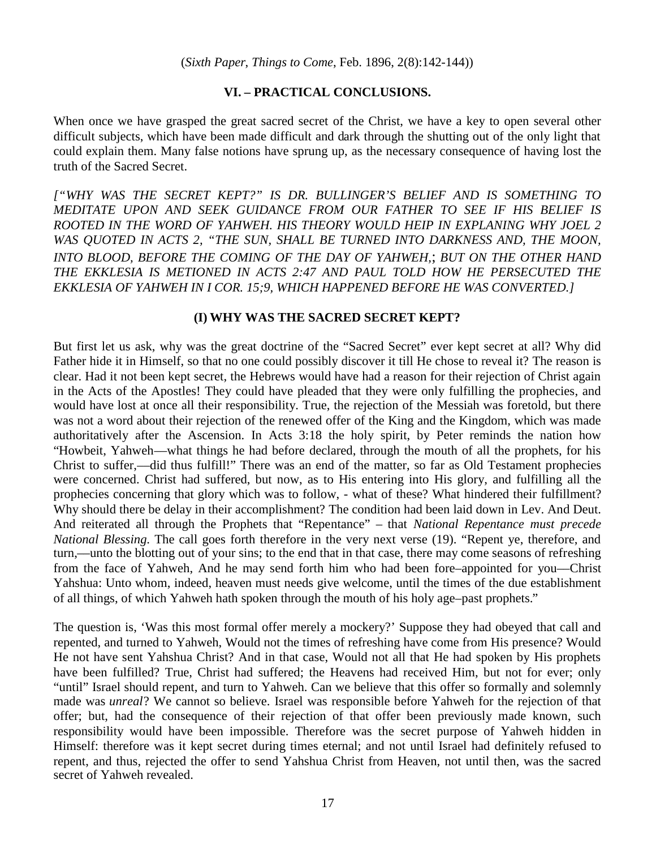## **VI. – PRACTICAL CONCLUSIONS.**

When once we have grasped the great sacred secret of the Christ, we have a key to open several other difficult subjects, which have been made difficult and dark through the shutting out of the only light that could explain them. Many false notions have sprung up, as the necessary consequence of having lost the truth of the Sacred Secret.

*["WHY WAS THE SECRET KEPT?" IS DR. BULLINGER'S BELIEF AND IS SOMETHING TO MEDITATE UPON AND SEEK GUIDANCE FROM OUR FATHER TO SEE IF HIS BELIEF IS ROOTED IN THE WORD OF YAHWEH. HIS THEORY WOULD HEIP IN EXPLANING WHY JOEL 2 WAS QUOTED IN ACTS 2, "THE SUN, SHALL BE TURNED INTO DARKNESS AND, THE MOON, INTO BLOOD, BEFORE THE COMING OF THE DAY OF YAHWEH,*; *BUT ON THE OTHER HAND THE EKKLESIA IS METIONED IN ACTS 2:47 AND PAUL TOLD HOW HE PERSECUTED THE EKKLESIA OF YAHWEH IN I COR. 15;9, WHICH HAPPENED BEFORE HE WAS CONVERTED.]*

## **(I) WHY WAS THE SACRED SECRET KEPT?**

But first let us ask, why was the great doctrine of the "Sacred Secret" ever kept secret at all? Why did Father hide it in Himself, so that no one could possibly discover it till He chose to reveal it? The reason is clear. Had it not been kept secret, the Hebrews would have had a reason for their rejection of Christ again in the Acts of the Apostles! They could have pleaded that they were only fulfilling the prophecies, and would have lost at once all their responsibility. True, the rejection of the Messiah was foretold, but there was not a word about their rejection of the renewed offer of the King and the Kingdom, which was made authoritatively after the Ascension. In Acts 3:18 the holy spirit, by Peter reminds the nation how "Howbeit, Yahweh––what things he had before declared, through the mouth of all the prophets, for his Christ to suffer,––did thus fulfill!" There was an end of the matter, so far as Old Testament prophecies were concerned. Christ had suffered, but now, as to His entering into His glory, and fulfilling all the prophecies concerning that glory which was to follow, - what of these? What hindered their fulfillment? Why should there be delay in their accomplishment? The condition had been laid down in Lev. And Deut. And reiterated all through the Prophets that "Repentance" – that *National Repentance must precede National Blessing*. The call goes forth therefore in the very next verse (19). "Repent ye, therefore, and turn,––unto the blotting out of your sins; to the end that in that case, there may come seasons of refreshing from the face of Yahweh, And he may send forth him who had been fore–appointed for you––Christ Yahshua: Unto whom, indeed, heaven must needs give welcome, until the times of the due establishment of all things, of which Yahweh hath spoken through the mouth of his holy age–past prophets."

The question is, 'Was this most formal offer merely a mockery?' Suppose they had obeyed that call and repented, and turned to Yahweh, Would not the times of refreshing have come from His presence? Would He not have sent Yahshua Christ? And in that case, Would not all that He had spoken by His prophets have been fulfilled? True, Christ had suffered; the Heavens had received Him, but not for ever; only "until" Israel should repent, and turn to Yahweh. Can we believe that this offer so formally and solemnly made was *unreal*? We cannot so believe. Israel was responsible before Yahweh for the rejection of that offer; but, had the consequence of their rejection of that offer been previously made known, such responsibility would have been impossible. Therefore was the secret purpose of Yahweh hidden in Himself: therefore was it kept secret during times eternal; and not until Israel had definitely refused to repent, and thus, rejected the offer to send Yahshua Christ from Heaven, not until then, was the sacred secret of Yahweh revealed.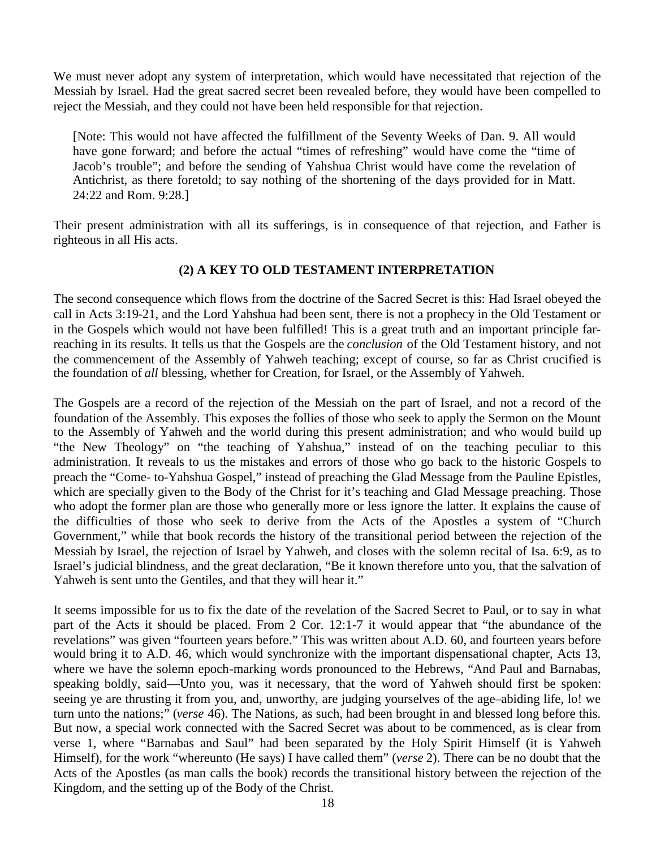We must never adopt any system of interpretation, which would have necessitated that rejection of the Messiah by Israel. Had the great sacred secret been revealed before, they would have been compelled to reject the Messiah, and they could not have been held responsible for that rejection.

[Note: This would not have affected the fulfillment of the Seventy Weeks of Dan. 9. All would have gone forward; and before the actual "times of refreshing" would have come the "time of Jacob's trouble"; and before the sending of Yahshua Christ would have come the revelation of Antichrist, as there foretold; to say nothing of the shortening of the days provided for in Matt. 24:22 and Rom. 9:28.]

Their present administration with all its sufferings, is in consequence of that rejection, and Father is righteous in all His acts.

# **(2) A KEY TO OLD TESTAMENT INTERPRETATION**

The second consequence which flows from the doctrine of the Sacred Secret is this: Had Israel obeyed the call in Acts 3:19-21, and the Lord Yahshua had been sent, there is not a prophecy in the Old Testament or in the Gospels which would not have been fulfilled! This is a great truth and an important principle farreaching in its results. It tells us that the Gospels are the *conclusion* of the Old Testament history, and not the commencement of the Assembly of Yahweh teaching; except of course, so far as Christ crucified is the foundation of *all* blessing, whether for Creation, for Israel, or the Assembly of Yahweh.

The Gospels are a record of the rejection of the Messiah on the part of Israel, and not a record of the foundation of the Assembly. This exposes the follies of those who seek to apply the Sermon on the Mount to the Assembly of Yahweh and the world during this present administration; and who would build up "the New Theology" on "the teaching of Yahshua," instead of on the teaching peculiar to this administration. It reveals to us the mistakes and errors of those who go back to the historic Gospels to preach the "Come- to-Yahshua Gospel," instead of preaching the Glad Message from the Pauline Epistles, which are specially given to the Body of the Christ for it's teaching and Glad Message preaching. Those who adopt the former plan are those who generally more or less ignore the latter. It explains the cause of the difficulties of those who seek to derive from the Acts of the Apostles a system of "Church Government," while that book records the history of the transitional period between the rejection of the Messiah by Israel, the rejection of Israel by Yahweh, and closes with the solemn recital of Isa. 6:9, as to Israel's judicial blindness, and the great declaration, "Be it known therefore unto you, that the salvation of Yahweh is sent unto the Gentiles, and that they will hear it."

It seems impossible for us to fix the date of the revelation of the Sacred Secret to Paul, or to say in what part of the Acts it should be placed. From 2 Cor. 12:1-7 it would appear that "the abundance of the revelations" was given "fourteen years before." This was written about A.D. 60, and fourteen years before would bring it to A.D. 46, which would synchronize with the important dispensational chapter, Acts 13, where we have the solemn epoch-marking words pronounced to the Hebrews, "And Paul and Barnabas, speaking boldly, said––Unto you, was it necessary, that the word of Yahweh should first be spoken: seeing ye are thrusting it from you, and, unworthy, are judging yourselves of the age–abiding life, lo! we turn unto the nations;" (*verse* 46). The Nations, as such, had been brought in and blessed long before this. But now, a special work connected with the Sacred Secret was about to be commenced, as is clear from verse 1, where "Barnabas and Saul" had been separated by the Holy Spirit Himself (it is Yahweh Himself), for the work "whereunto (He says) I have called them" (*verse* 2). There can be no doubt that the Acts of the Apostles (as man calls the book) records the transitional history between the rejection of the Kingdom, and the setting up of the Body of the Christ.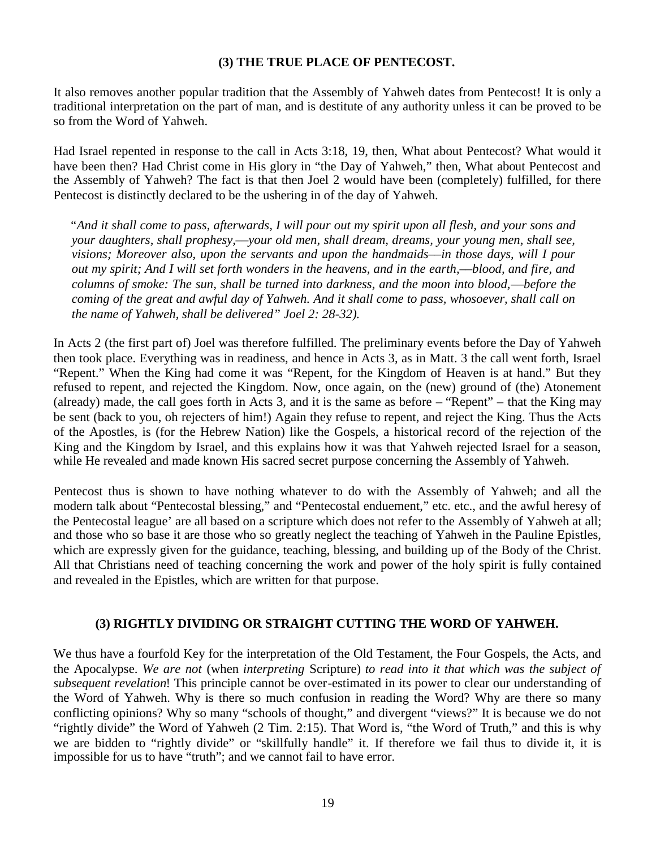# **(3) THE TRUE PLACE OF PENTECOST.**

It also removes another popular tradition that the Assembly of Yahweh dates from Pentecost! It is only a traditional interpretation on the part of man, and is destitute of any authority unless it can be proved to be so from the Word of Yahweh.

Had Israel repented in response to the call in Acts 3:18, 19, then, What about Pentecost? What would it have been then? Had Christ come in His glory in "the Day of Yahweh," then, What about Pentecost and the Assembly of Yahweh? The fact is that then Joel 2 would have been (completely) fulfilled, for there Pentecost is distinctly declared to be the ushering in of the day of Yahweh.

*"And it shall come to pass, afterwards, I will pour out my spirit upon all flesh, and your sons and your daughters, shall prophesy,––your old men, shall dream, dreams, your young men, shall see, visions; Moreover also, upon the servants and upon the handmaids––in those days, will I pour out my spirit; And I will set forth wonders in the heavens, and in the earth,––blood, and fire, and columns of smoke: The sun, shall be turned into darkness, and the moon into blood,––before the coming of the great and awful day of Yahweh. And it shall come to pass, whosoever, shall call on the name of Yahweh, shall be delivered" Joel 2: 28-32).*

In Acts 2 (the first part of) Joel was therefore fulfilled. The preliminary events before the Day of Yahweh then took place. Everything was in readiness, and hence in Acts 3, as in Matt. 3 the call went forth, Israel "Repent." When the King had come it was "Repent, for the Kingdom of Heaven is at hand." But they refused to repent, and rejected the Kingdom. Now, once again, on the (new) ground of (the) Atonement (already) made, the call goes forth in Acts 3, and it is the same as before – "Repent" – that the King may be sent (back to you, oh rejecters of him!) Again they refuse to repent, and reject the King. Thus the Acts of the Apostles, is (for the Hebrew Nation) like the Gospels, a historical record of the rejection of the King and the Kingdom by Israel, and this explains how it was that Yahweh rejected Israel for a season, while He revealed and made known His sacred secret purpose concerning the Assembly of Yahweh.

Pentecost thus is shown to have nothing whatever to do with the Assembly of Yahweh; and all the modern talk about "Pentecostal blessing," and "Pentecostal enduement," etc. etc., and the awful heresy of the Pentecostal league' are all based on a scripture which does not refer to the Assembly of Yahweh at all; and those who so base it are those who so greatly neglect the teaching of Yahweh in the Pauline Epistles, which are expressly given for the guidance, teaching, blessing, and building up of the Body of the Christ. All that Christians need of teaching concerning the work and power of the holy spirit is fully contained and revealed in the Epistles, which are written for that purpose.

## **(3) RIGHTLY DIVIDING OR STRAIGHT CUTTING THE WORD OF YAHWEH.**

We thus have a fourfold Key for the interpretation of the Old Testament, the Four Gospels, the Acts, and the Apocalypse. *We are not* (when *interpreting* Scripture) *to read into it that which was the subject of subsequent revelation*! This principle cannot be over-estimated in its power to clear our understanding of the Word of Yahweh. Why is there so much confusion in reading the Word? Why are there so many conflicting opinions? Why so many "schools of thought," and divergent "views?" It is because we do not "rightly divide" the Word of Yahweh (2 Tim. 2:15). That Word is, "the Word of Truth," and this is why we are bidden to "rightly divide" or "skillfully handle" it. If therefore we fail thus to divide it, it is impossible for us to have "truth"; and we cannot fail to have error.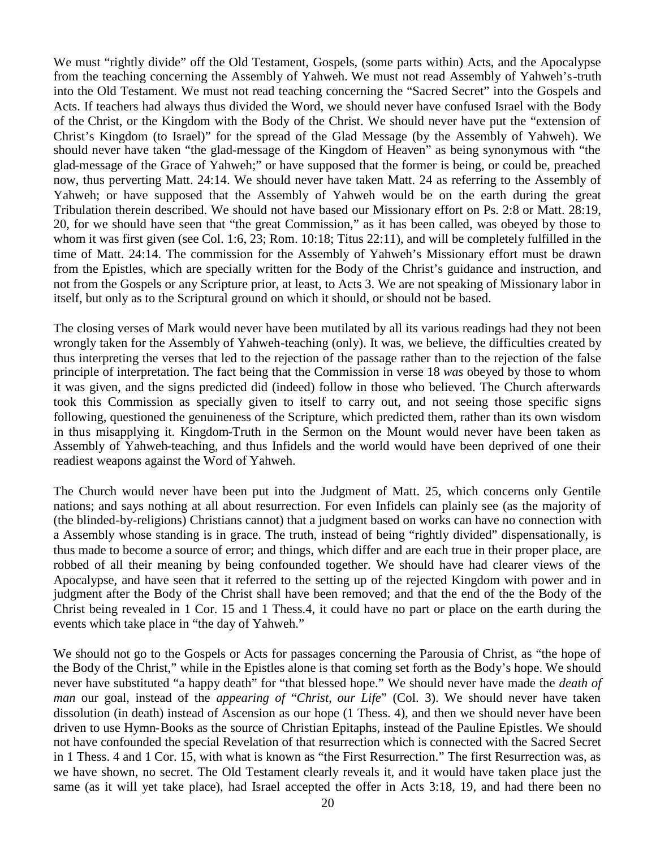We must "rightly divide" off the Old Testament, Gospels, (some parts within) Acts, and the Apocalypse from the teaching concerning the Assembly of Yahweh. We must not read Assembly of Yahweh's-truth into the Old Testament. We must not read teaching concerning the "Sacred Secret" into the Gospels and Acts. If teachers had always thus divided the Word, we should never have confused Israel with the Body of the Christ, or the Kingdom with the Body of the Christ. We should never have put the "extension of Christ's Kingdom (to Israel)" for the spread of the Glad Message (by the Assembly of Yahweh). We should never have taken "the glad-message of the Kingdom of Heaven" as being synonymous with "the glad-message of the Grace of Yahweh;" or have supposed that the former is being, or could be, preached now, thus perverting Matt. 24:14. We should never have taken Matt. 24 as referring to the Assembly of Yahweh; or have supposed that the Assembly of Yahweh would be on the earth during the great Tribulation therein described. We should not have based our Missionary effort on Ps. 2:8 or Matt. 28:19, 20, for we should have seen that "the great Commission," as it has been called, was obeyed by those to whom it was first given (see Col. 1:6, 23; Rom. 10:18; Titus 22:11), and will be completely fulfilled in the time of Matt. 24:14. The commission for the Assembly of Yahweh's Missionary effort must be drawn from the Epistles, which are specially written for the Body of the Christ's guidance and instruction, and not from the Gospels or any Scripture prior, at least, to Acts 3. We are not speaking of Missionary labor in itself, but only as to the Scriptural ground on which it should, or should not be based.

The closing verses of Mark would never have been mutilated by all its various readings had they not been wrongly taken for the Assembly of Yahweh-teaching (only). It was, we believe, the difficulties created by thus interpreting the verses that led to the rejection of the passage rather than to the rejection of the false principle of interpretation. The fact being that the Commission in verse 18 *was* obeyed by those to whom it was given, and the signs predicted did (indeed) follow in those who believed. The Church afterwards took this Commission as specially given to itself to carry out, and not seeing those specific signs following, questioned the genuineness of the Scripture, which predicted them, rather than its own wisdom in thus misapplying it. Kingdom-Truth in the Sermon on the Mount would never have been taken as Assembly of Yahweh-teaching, and thus Infidels and the world would have been deprived of one their readiest weapons against the Word of Yahweh.

The Church would never have been put into the Judgment of Matt. 25, which concerns only Gentile nations; and says nothing at all about resurrection. For even Infidels can plainly see (as the majority of (the blinded-by-religions) Christians cannot) that a judgment based on works can have no connection with a Assembly whose standing is in grace. The truth, instead of being "rightly divided" dispensationally, is thus made to become a source of error; and things, which differ and are each true in their proper place, are robbed of all their meaning by being confounded together. We should have had clearer views of the Apocalypse, and have seen that it referred to the setting up of the rejected Kingdom with power and in judgment after the Body of the Christ shall have been removed; and that the end of the the Body of the Christ being revealed in 1 Cor. 15 and 1 Thess.4, it could have no part or place on the earth during the events which take place in "the day of Yahweh."

We should not go to the Gospels or Acts for passages concerning the Parousia of Christ, as "the hope of the Body of the Christ," while in the Epistles alone is that coming set forth as the Body's hope. We should never have substituted "a happy death" for "that blessed hope." We should never have made the *death of man* our goal, instead of the *appearing of* "*Christ*, *our Life*" (Col. 3). We should never have taken dissolution (in death) instead of Ascension as our hope (1 Thess. 4), and then we should never have been driven to use Hymn-Books as the source of Christian Epitaphs, instead of the Pauline Epistles. We should not have confounded the special Revelation of that resurrection which is connected with the Sacred Secret in 1 Thess. 4 and 1 Cor. 15, with what is known as "the First Resurrection." The first Resurrection was, as we have shown, no secret. The Old Testament clearly reveals it, and it would have taken place just the same (as it will yet take place), had Israel accepted the offer in Acts 3:18, 19, and had there been no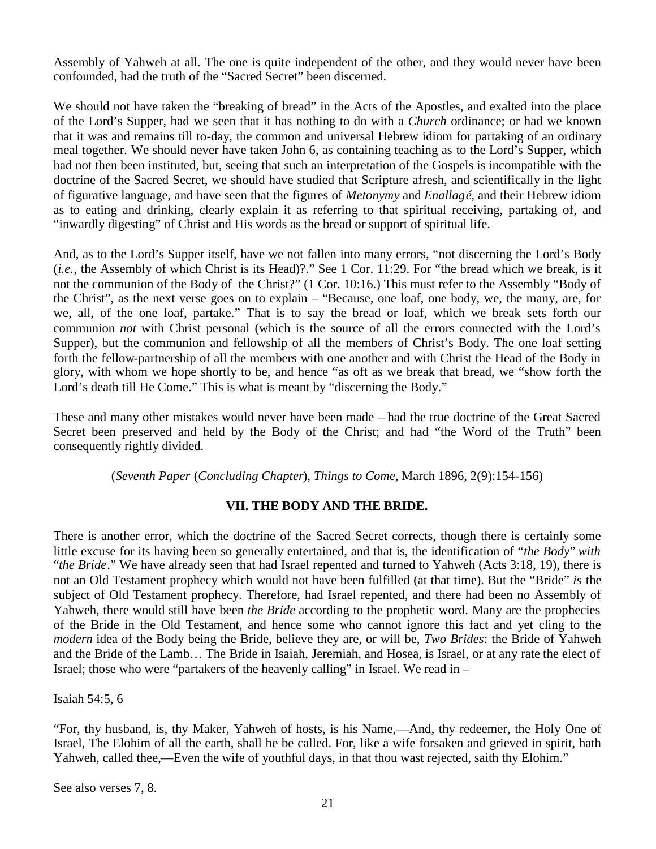Assembly of Yahweh at all. The one is quite independent of the other, and they would never have been confounded, had the truth of the "Sacred Secret" been discerned.

We should not have taken the "breaking of bread" in the Acts of the Apostles, and exalted into the place of the Lord's Supper, had we seen that it has nothing to do with a *Church* ordinance; or had we known that it was and remains till to-day, the common and universal Hebrew idiom for partaking of an ordinary meal together. We should never have taken John 6, as containing teaching as to the Lord's Supper, which had not then been instituted, but, seeing that such an interpretation of the Gospels is incompatible with the doctrine of the Sacred Secret, we should have studied that Scripture afresh, and scientifically in the light of figurative language, and have seen that the figures of *Metonymy* and *Enallagé*, and their Hebrew idiom as to eating and drinking, clearly explain it as referring to that spiritual receiving, partaking of, and "inwardly digesting" of Christ and His words as the bread or support of spiritual life.

And, as to the Lord's Supper itself, have we not fallen into many errors, "not discerning the Lord's Body (*i.e.*, the Assembly of which Christ is its Head)?." See 1 Cor. 11:29. For "the bread which we break, is it not the communion of the Body of the Christ?" (1 Cor. 10:16.) This must refer to the Assembly "Body of the Christ", as the next verse goes on to explain – "Because, one loaf, one body, we, the many, are, for we, all, of the one loaf, partake." That is to say the bread or loaf, which we break sets forth our communion *not* with Christ personal (which is the source of all the errors connected with the Lord's Supper), but the communion and fellowship of all the members of Christ's Body. The one loaf setting forth the fellow-partnership of all the members with one another and with Christ the Head of the Body in glory, with whom we hope shortly to be, and hence "as oft as we break that bread, we "show forth the Lord's death till He Come." This is what is meant by "discerning the Body."

These and many other mistakes would never have been made – had the true doctrine of the Great Sacred Secret been preserved and held by the Body of the Christ; and had "the Word of the Truth" been consequently rightly divided.

(*Seventh Paper* (*Concluding Chapter*), *Things to Come*, March 1896, 2(9):154-156)

# **VII. THE BODY AND THE BRIDE.**

There is another error, which the doctrine of the Sacred Secret corrects, though there is certainly some little excuse for its having been so generally entertained, and that is, the identification of "*the Body*" *with* "*the Bride*." We have already seen that had Israel repented and turned to Yahweh (Acts 3:18, 19), there is not an Old Testament prophecy which would not have been fulfilled (at that time). But the "Bride" *is* the subject of Old Testament prophecy. Therefore, had Israel repented, and there had been no Assembly of Yahweh, there would still have been *the Bride* according to the prophetic word. Many are the prophecies of the Bride in the Old Testament, and hence some who cannot ignore this fact and yet cling to the *modern* idea of the Body being the Bride, believe they are, or will be, *Two Brides*: the Bride of Yahweh and the Bride of the Lamb… The Bride in Isaiah, Jeremiah, and Hosea, is Israel, or at any rate the elect of Israel; those who were "partakers of the heavenly calling" in Israel. We read in –

Isaiah 54:5, 6

"For, thy husband, is, thy Maker, Yahweh of hosts, is his Name,––And, thy redeemer, the Holy One of Israel, The Elohim of all the earth, shall he be called. For, like a wife forsaken and grieved in spirit, hath Yahweh, called thee,—Even the wife of youthful days, in that thou wast rejected, saith thy Elohim."

See also verses 7, 8.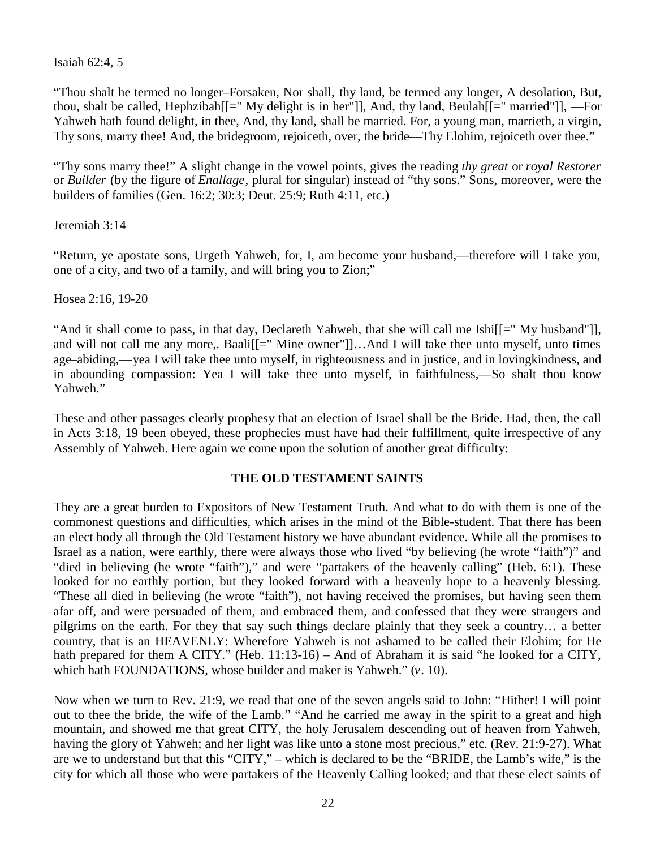Isaiah 62:4, 5

"Thou shalt he termed no longer–Forsaken, Nor shall, thy land, be termed any longer, A desolation, But, thou, shalt be called, Hephzibah[[=" My delight is in her"]], And, thy land, Beulah[[=" married"]], ––For Yahweh hath found delight, in thee, And, thy land, shall be married. For, a young man, marrieth, a virgin, Thy sons, marry thee! And, the bridegroom, rejoiceth, over, the bride––Thy Elohim, rejoiceth over thee."

"Thy sons marry thee!" A slight change in the vowel points, gives the reading *thy great* or *royal Restorer* or *Builder* (by the figure of *Enallage*, plural for singular) instead of "thy sons." Sons, moreover, were the builders of families (Gen. 16:2; 30:3; Deut. 25:9; Ruth 4:11, etc.)

Jeremiah 3:14

"Return, ye apostate sons, Urgeth Yahweh, for, I, am become your husband,––therefore will I take you, one of a city, and two of a family, and will bring you to Zion;"

Hosea 2:16, 19-20

"And it shall come to pass, in that day, Declareth Yahweh, that she will call me Ishi[[=" My husband"]], and will not call me any more,. Baali<sup>[[="</sup> Mine owner"]]...And I will take thee unto myself, unto times age–abiding,––yea I will take thee unto myself, in righteousness and in justice, and in lovingkindness, and in abounding compassion: Yea I will take thee unto myself, in faithfulness,––So shalt thou know Yahweh."

These and other passages clearly prophesy that an election of Israel shall be the Bride. Had, then, the call in Acts 3:18, 19 been obeyed, these prophecies must have had their fulfillment, quite irrespective of any Assembly of Yahweh. Here again we come upon the solution of another great difficulty:

## **THE OLD TESTAMENT SAINTS**

They are a great burden to Expositors of New Testament Truth. And what to do with them is one of the commonest questions and difficulties, which arises in the mind of the Bible-student. That there has been an elect body all through the Old Testament history we have abundant evidence. While all the promises to Israel as a nation, were earthly, there were always those who lived "by believing (he wrote "faith")" and "died in believing (he wrote "faith")," and were "partakers of the heavenly calling" (Heb. 6:1). These looked for no earthly portion, but they looked forward with a heavenly hope to a heavenly blessing. "These all died in believing (he wrote "faith"), not having received the promises, but having seen them afar off, and were persuaded of them, and embraced them, and confessed that they were strangers and pilgrims on the earth. For they that say such things declare plainly that they seek a country… a better country, that is an HEAVENLY: Wherefore Yahweh is not ashamed to be called their Elohim; for He hath prepared for them A CITY." (Heb. 11:13-16) – And of Abraham it is said "he looked for a CITY, which hath FOUNDATIONS, whose builder and maker is Yahweh." (*v*. 10).

Now when we turn to Rev. 21:9, we read that one of the seven angels said to John: "Hither! I will point out to thee the bride, the wife of the Lamb." "And he carried me away in the spirit to a great and high mountain, and showed me that great CITY, the holy Jerusalem descending out of heaven from Yahweh, having the glory of Yahweh; and her light was like unto a stone most precious," etc. (Rev. 21:9-27). What are we to understand but that this "CITY," – which is declared to be the "BRIDE, the Lamb's wife," is the city for which all those who were partakers of the Heavenly Calling looked; and that these elect saints of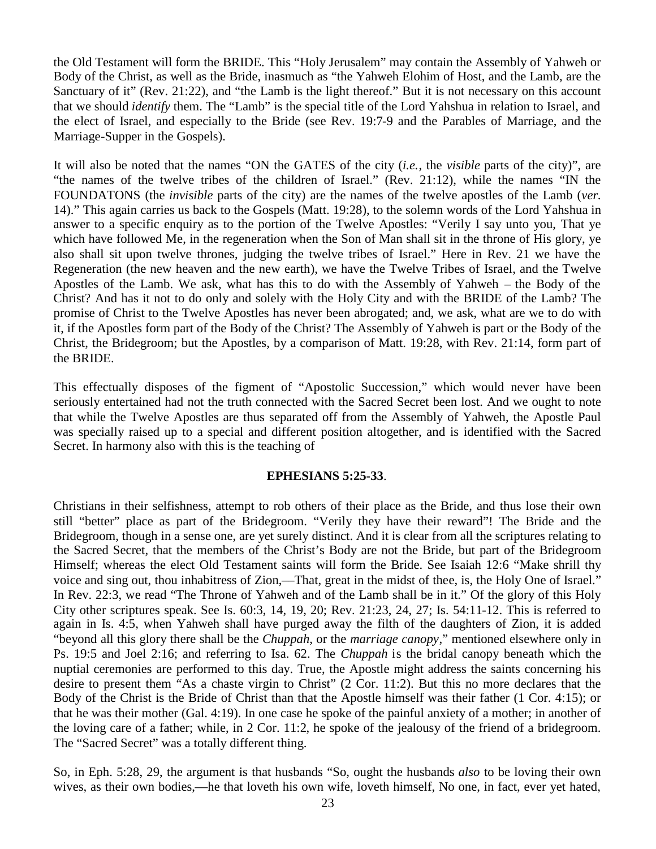the Old Testament will form the BRIDE. This "Holy Jerusalem" may contain the Assembly of Yahweh or Body of the Christ, as well as the Bride, inasmuch as "the Yahweh Elohim of Host, and the Lamb, are the Sanctuary of it" (Rev. 21:22), and "the Lamb is the light thereof." But it is not necessary on this account that we should *identify* them. The "Lamb" is the special title of the Lord Yahshua in relation to Israel, and the elect of Israel, and especially to the Bride (see Rev. 19:7-9 and the Parables of Marriage, and the Marriage-Supper in the Gospels).

It will also be noted that the names "ON the GATES of the city (*i.e.*, the *visible* parts of the city)", are "the names of the twelve tribes of the children of Israel." (Rev. 21:12), while the names "IN the FOUNDATONS (the *invisible* parts of the city) are the names of the twelve apostles of the Lamb (*ver*. 14)." This again carries us back to the Gospels (Matt. 19:28), to the solemn words of the Lord Yahshua in answer to a specific enquiry as to the portion of the Twelve Apostles: "Verily I say unto you, That ye which have followed Me, in the regeneration when the Son of Man shall sit in the throne of His glory, ye also shall sit upon twelve thrones, judging the twelve tribes of Israel." Here in Rev. 21 we have the Regeneration (the new heaven and the new earth), we have the Twelve Tribes of Israel, and the Twelve Apostles of the Lamb. We ask, what has this to do with the Assembly of Yahweh – the Body of the Christ? And has it not to do only and solely with the Holy City and with the BRIDE of the Lamb? The promise of Christ to the Twelve Apostles has never been abrogated; and, we ask, what are we to do with it, if the Apostles form part of the Body of the Christ? The Assembly of Yahweh is part or the Body of the Christ, the Bridegroom; but the Apostles, by a comparison of Matt. 19:28, with Rev. 21:14, form part of the BRIDE.

This effectually disposes of the figment of "Apostolic Succession," which would never have been seriously entertained had not the truth connected with the Sacred Secret been lost. And we ought to note that while the Twelve Apostles are thus separated off from the Assembly of Yahweh, the Apostle Paul was specially raised up to a special and different position altogether, and is identified with the Sacred Secret. In harmony also with this is the teaching of

## **EPHESIANS 5:25-33**.

Christians in their selfishness, attempt to rob others of their place as the Bride, and thus lose their own still "better" place as part of the Bridegroom. "Verily they have their reward"! The Bride and the Bridegroom, though in a sense one, are yet surely distinct. And it is clear from all the scriptures relating to the Sacred Secret, that the members of the Christ's Body are not the Bride, but part of the Bridegroom Himself; whereas the elect Old Testament saints will form the Bride. See Isaiah 12:6 "Make shrill thy voice and sing out, thou inhabitress of Zion,––That, great in the midst of thee, is, the Holy One of Israel." In Rev. 22:3, we read "The Throne of Yahweh and of the Lamb shall be in it." Of the glory of this Holy City other scriptures speak. See Is. 60:3, 14, 19, 20; Rev. 21:23, 24, 27; Is. 54:11-12. This is referred to again in Is. 4:5, when Yahweh shall have purged away the filth of the daughters of Zion, it is added "beyond all this glory there shall be the *Chuppah*, or the *marriage canopy*," mentioned elsewhere only in Ps. 19:5 and Joel 2:16; and referring to Isa. 62. The *Chuppah* is the bridal canopy beneath which the nuptial ceremonies are performed to this day. True, the Apostle might address the saints concerning his desire to present them "As a chaste virgin to Christ" (2 Cor. 11:2). But this no more declares that the Body of the Christ is the Bride of Christ than that the Apostle himself was their father (1 Cor. 4:15); or that he was their mother (Gal. 4:19). In one case he spoke of the painful anxiety of a mother; in another of the loving care of a father; while, in 2 Cor. 11:2, he spoke of the jealousy of the friend of a bridegroom. The "Sacred Secret" was a totally different thing.

So, in Eph. 5:28, 29, the argument is that husbands "So, ought the husbands *also* to be loving their own wives, as their own bodies,—he that loveth his own wife, loveth himself, No one, in fact, ever yet hated,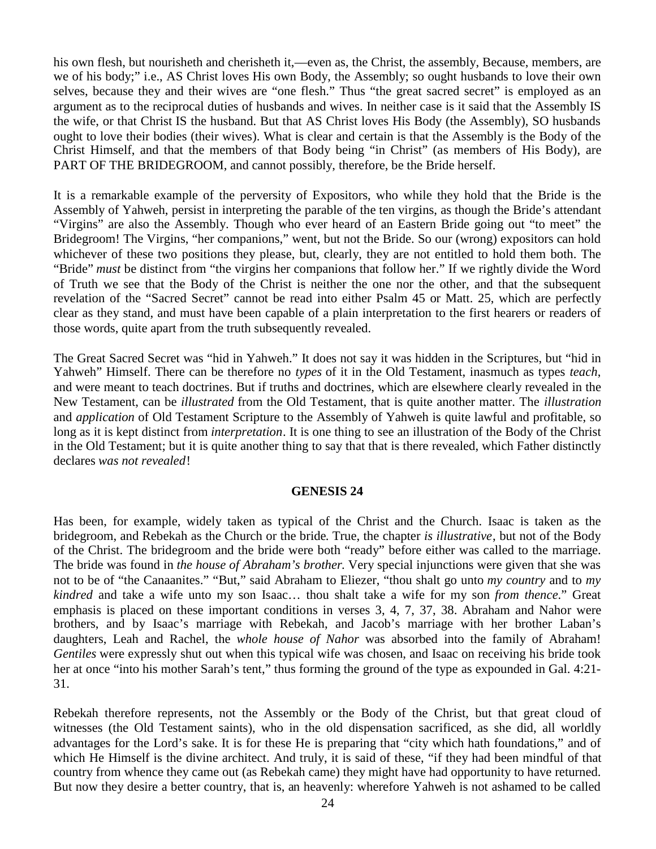his own flesh, but nourisheth and cherisheth it,—even as, the Christ, the assembly, Because, members, are we of his body;" i.e., AS Christ loves His own Body, the Assembly; so ought husbands to love their own selves, because they and their wives are "one flesh." Thus "the great sacred secret" is employed as an argument as to the reciprocal duties of husbands and wives. In neither case is it said that the Assembly IS the wife, or that Christ IS the husband. But that AS Christ loves His Body (the Assembly), SO husbands ought to love their bodies (their wives). What is clear and certain is that the Assembly is the Body of the Christ Himself, and that the members of that Body being "in Christ" (as members of His Body), are PART OF THE BRIDEGROOM, and cannot possibly, therefore, be the Bride herself.

It is a remarkable example of the perversity of Expositors, who while they hold that the Bride is the Assembly of Yahweh, persist in interpreting the parable of the ten virgins, as though the Bride's attendant "Virgins" are also the Assembly. Though who ever heard of an Eastern Bride going out "to meet" the Bridegroom! The Virgins, "her companions," went, but not the Bride. So our (wrong) expositors can hold whichever of these two positions they please, but, clearly, they are not entitled to hold them both. The "Bride" *must* be distinct from "the virgins her companions that follow her." If we rightly divide the Word of Truth we see that the Body of the Christ is neither the one nor the other, and that the subsequent revelation of the "Sacred Secret" cannot be read into either Psalm 45 or Matt. 25, which are perfectly clear as they stand, and must have been capable of a plain interpretation to the first hearers or readers of those words, quite apart from the truth subsequently revealed.

The Great Sacred Secret was "hid in Yahweh." It does not say it was hidden in the Scriptures, but "hid in Yahweh" Himself. There can be therefore no *types* of it in the Old Testament, inasmuch as types *teach*, and were meant to teach doctrines. But if truths and doctrines, which are elsewhere clearly revealed in the New Testament, can be *illustrated* from the Old Testament, that is quite another matter. The *illustration* and *application* of Old Testament Scripture to the Assembly of Yahweh is quite lawful and profitable, so long as it is kept distinct from *interpretation*. It is one thing to see an illustration of the Body of the Christ in the Old Testament; but it is quite another thing to say that that is there revealed, which Father distinctly declares *was not revealed*!

## **GENESIS 24**

Has been, for example, widely taken as typical of the Christ and the Church. Isaac is taken as the bridegroom, and Rebekah as the Church or the bride. True, the chapter *is illustrative*, but not of the Body of the Christ. The bridegroom and the bride were both "ready" before either was called to the marriage. The bride was found in *the house of Abraham's brother*. Very special injunctions were given that she was not to be of "the Canaanites." "But," said Abraham to Eliezer, "thou shalt go unto *my country* and to *my kindred* and take a wife unto my son Isaac… thou shalt take a wife for my son *from thence*." Great emphasis is placed on these important conditions in verses 3, 4, 7, 37, 38. Abraham and Nahor were brothers, and by Isaac's marriage with Rebekah, and Jacob's marriage with her brother Laban's daughters, Leah and Rachel, the *whole house of Nahor* was absorbed into the family of Abraham! *Gentiles* were expressly shut out when this typical wife was chosen, and Isaac on receiving his bride took her at once "into his mother Sarah's tent," thus forming the ground of the type as expounded in Gal. 4:21- 31.

Rebekah therefore represents, not the Assembly or the Body of the Christ, but that great cloud of witnesses (the Old Testament saints), who in the old dispensation sacrificed, as she did, all worldly advantages for the Lord's sake. It is for these He is preparing that "city which hath foundations," and of which He Himself is the divine architect. And truly, it is said of these, "if they had been mindful of that country from whence they came out (as Rebekah came) they might have had opportunity to have returned. But now they desire a better country, that is, an heavenly: wherefore Yahweh is not ashamed to be called